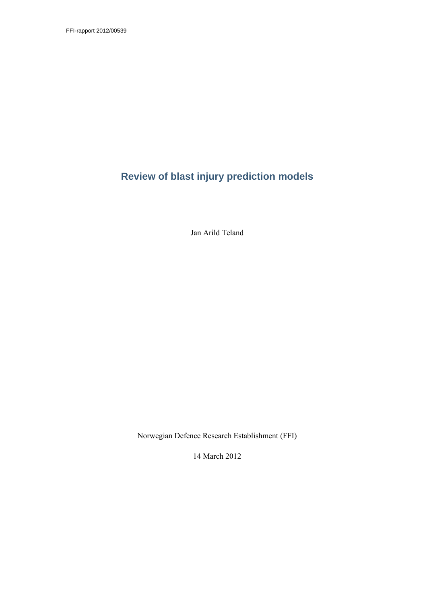FFI-rapport 2012/00539

# **Review of blast injury prediction models**

Jan Arild Teland

Norwegian Defence Research Establishment (FFI)

14 March 2012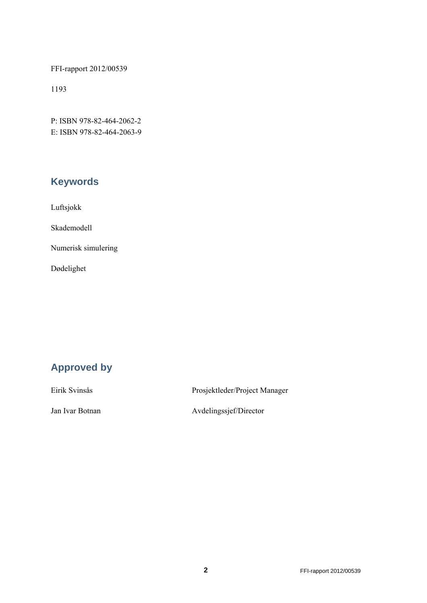FFI-rapport 2012/00539

1193

P: ISBN 978-82-464-2062-2 E: ISBN 978-82-464-2063-9

# **Keywords**

Luftsjokk

Skademodell

Numerisk simulering

Dødelighet

# **Approved by**

Eirik Svinsås Prosjektleder/Project Manager

Jan Ivar Botnan Avdelingssjef/Director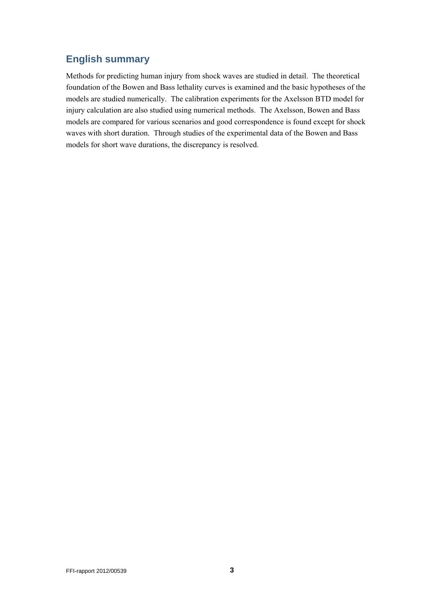## **English summary**

Methods for predicting human injury from shock waves are studied in detail. The theoretical foundation of the Bowen and Bass lethality curves is examined and the basic hypotheses of the models are studied numerically. The calibration experiments for the Axelsson BTD model for injury calculation are also studied using numerical methods. The Axelsson, Bowen and Bass models are compared for various scenarios and good correspondence is found except for shock waves with short duration. Through studies of the experimental data of the Bowen and Bass models for short wave durations, the discrepancy is resolved.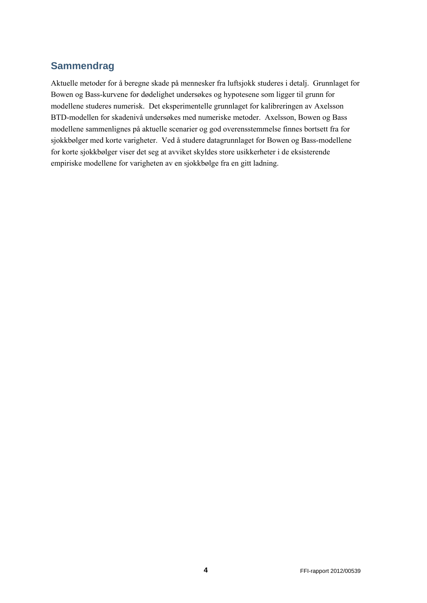# **Sammendrag**

Aktuelle metoder for å beregne skade på mennesker fra luftsjokk studeres i detalj. Grunnlaget for Bowen og Bass-kurvene for dødelighet undersøkes og hypotesene som ligger til grunn for modellene studeres numerisk. Det eksperimentelle grunnlaget for kalibreringen av Axelsson BTD-modellen for skadenivå undersøkes med numeriske metoder. Axelsson, Bowen og Bass modellene sammenlignes på aktuelle scenarier og god overensstemmelse finnes bortsett fra for sjokkbølger med korte varigheter. Ved å studere datagrunnlaget for Bowen og Bass-modellene for korte sjokkbølger viser det seg at avviket skyldes store usikkerheter i de eksisterende empiriske modellene for varigheten av en sjokkbølge fra en gitt ladning.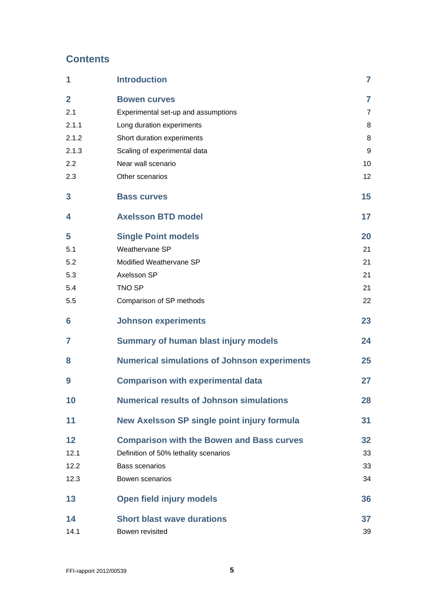# **Contents**

| 1              | <b>Introduction</b>                                 | $\overline{7}$ |
|----------------|-----------------------------------------------------|----------------|
| $\overline{2}$ | <b>Bowen curves</b>                                 | $\overline{7}$ |
| 2.1            | Experimental set-up and assumptions                 | $\overline{7}$ |
| 2.1.1          | Long duration experiments                           | 8              |
| 2.1.2          | Short duration experiments                          | 8              |
| 2.1.3          | Scaling of experimental data                        | 9              |
| 2.2            | Near wall scenario                                  | 10             |
| 2.3            | Other scenarios                                     | 12             |
| 3              | <b>Bass curves</b>                                  | 15             |
| 4              | <b>Axelsson BTD model</b>                           | 17             |
| 5              | <b>Single Point models</b>                          | 20             |
| 5.1            | Weathervane SP                                      | 21             |
| 5.2            | Modified Weathervane SP                             | 21             |
| 5.3            | Axelsson SP                                         | 21             |
| 5.4            | <b>TNO SP</b>                                       | 21             |
| 5.5            | Comparison of SP methods                            | 22             |
| 6              | <b>Johnson experiments</b>                          | 23             |
| 7              | <b>Summary of human blast injury models</b>         | 24             |
| 8              | <b>Numerical simulations of Johnson experiments</b> | 25             |
| 9              | <b>Comparison with experimental data</b>            | 27             |
| 10             | <b>Numerical results of Johnson simulations</b>     | 28             |
| 11             | New Axelsson SP single point injury formula         | 31             |
| 12             | <b>Comparison with the Bowen and Bass curves</b>    | 32             |
| 12.1           | Definition of 50% lethality scenarios               | 33             |
| 12.2           | <b>Bass scenarios</b>                               | 33             |
| 12.3           | Bowen scenarios                                     | 34             |
| 13             | <b>Open field injury models</b>                     | 36             |
| 14             | <b>Short blast wave durations</b>                   | 37             |
| 14.1           | Bowen revisited                                     | 39             |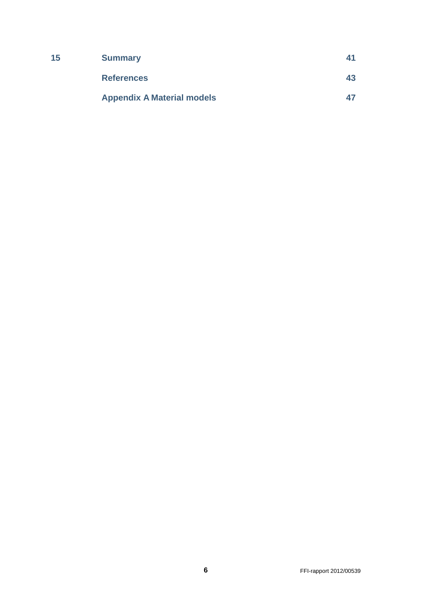| 15 | <b>Summary</b>                    | 41 |
|----|-----------------------------------|----|
|    | <b>References</b>                 | 43 |
|    | <b>Appendix A Material models</b> | 47 |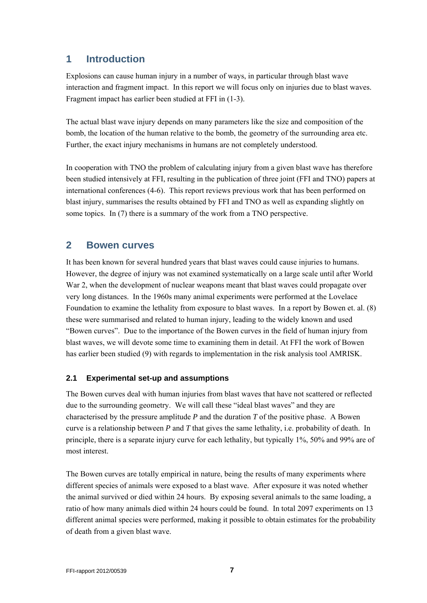## **1 Introduction**

Explosions can cause human injury in a number of ways, in particular through blast wave interaction and fragment impact. In this report we will focus only on injuries due to blast waves. Fragment impact has earlier been studied at FFI in (1-3).

The actual blast wave injury depends on many parameters like the size and composition of the bomb, the location of the human relative to the bomb, the geometry of the surrounding area etc. Further, the exact injury mechanisms in humans are not completely understood.

In cooperation with TNO the problem of calculating injury from a given blast wave has therefore been studied intensively at FFI, resulting in the publication of three joint (FFI and TNO) papers at international conferences (4-6). This report reviews previous work that has been performed on blast injury, summarises the results obtained by FFI and TNO as well as expanding slightly on some topics. In (7) there is a summary of the work from a TNO perspective.

## **2 Bowen curves**

It has been known for several hundred years that blast waves could cause injuries to humans. However, the degree of injury was not examined systematically on a large scale until after World War 2, when the development of nuclear weapons meant that blast waves could propagate over very long distances. In the 1960s many animal experiments were performed at the Lovelace Foundation to examine the lethality from exposure to blast waves. In a report by Bowen et. al. (8) these were summarised and related to human injury, leading to the widely known and used "Bowen curves". Due to the importance of the Bowen curves in the field of human injury from blast waves, we will devote some time to examining them in detail. At FFI the work of Bowen has earlier been studied (9) with regards to implementation in the risk analysis tool AMRISK.

#### **2.1 Experimental set-up and assumptions**

The Bowen curves deal with human injuries from blast waves that have not scattered or reflected due to the surrounding geometry. We will call these "ideal blast waves" and they are characterised by the pressure amplitude *P* and the duration *T* of the positive phase. A Bowen curve is a relationship between *P* and *T* that gives the same lethality, i.e. probability of death. In principle, there is a separate injury curve for each lethality, but typically 1%, 50% and 99% are of most interest.

The Bowen curves are totally empirical in nature, being the results of many experiments where different species of animals were exposed to a blast wave. After exposure it was noted whether the animal survived or died within 24 hours. By exposing several animals to the same loading, a ratio of how many animals died within 24 hours could be found. In total 2097 experiments on 13 different animal species were performed, making it possible to obtain estimates for the probability of death from a given blast wave.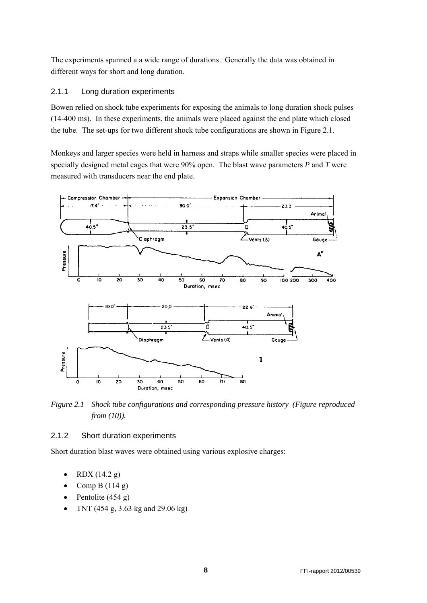The experiments spanned a a wide range of durations. Generally the data was obtained in different ways for short and long duration.

#### 2.1.1 Long duration experiments

Bowen relied on shock tube experiments for exposing the animals to long duration shock pulses (14-400 ms). In these experiments, the animals were placed against the end plate which closed the tube. The set-ups for two different shock tube configurations are shown in Figure 2.1.

Monkeys and larger species were held in harness and straps while smaller species were placed in specially designed metal cages that were 90% open. The blast wave parameters *P* and *T* were measured with transducers near the end plate.



*Figure 2.1 Shock tube configurations and corresponding pressure history (Figure reproduced from (10)).* 

#### 2.1.2 Short duration experiments

Short duration blast waves were obtained using various explosive charges:

- RDX (14.2 g)
- Comp B  $(114 g)$
- Pentolite  $(454 g)$
- TNT (454 g, 3.63 kg and 29.06 kg)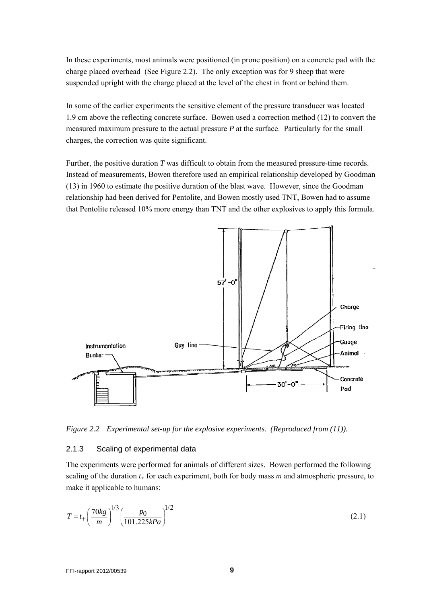In these experiments, most animals were positioned (in prone position) on a concrete pad with the charge placed overhead (See Figure 2.2). The only exception was for 9 sheep that were suspended upright with the charge placed at the level of the chest in front or behind them.

In some of the earlier experiments the sensitive element of the pressure transducer was located 1.9 cm above the reflecting concrete surface. Bowen used a correction method (12) to convert the measured maximum pressure to the actual pressure *P* at the surface. Particularly for the small charges, the correction was quite significant.

Further, the positive duration *T* was difficult to obtain from the measured pressure-time records. Instead of measurements, Bowen therefore used an empirical relationship developed by Goodman (13) in 1960 to estimate the positive duration of the blast wave. However, since the Goodman relationship had been derived for Pentolite, and Bowen mostly used TNT, Bowen had to assume that Pentolite released 10% more energy than TNT and the other explosives to apply this formula.



*Figure 2.2 Experimental set-up for the explosive experiments. (Reproduced from (11)).* 

#### 2.1.3 Scaling of experimental data

The experiments were performed for animals of different sizes. Bowen performed the following scaling of the duration *t+* for each experiment, both for body mass *m* and atmospheric pressure, to make it applicable to humans:

$$
T = t_{+} \left(\frac{70kg}{m}\right)^{1/3} \left(\frac{p_0}{101.225kPa}\right)^{1/2}
$$
 (2.1)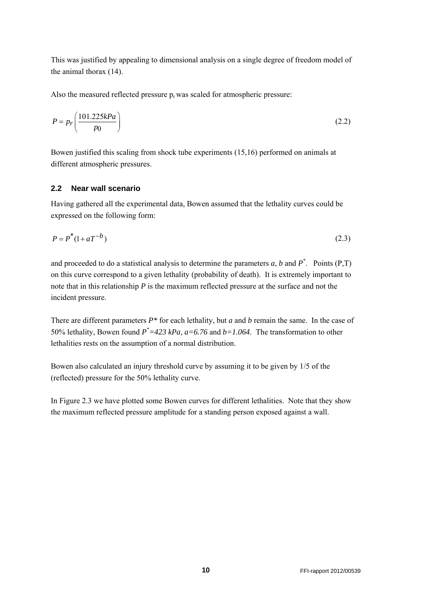This was justified by appealing to dimensional analysis on a single degree of freedom model of the animal thorax (14).

Also the measured reflected pressure  $p_r$  was scaled for atmospheric pressure:

$$
P = p_r \left(\frac{101.225kPa}{p_0}\right) \tag{2.2}
$$

Bowen justified this scaling from shock tube experiments (15,16) performed on animals at different atmospheric pressures.

#### **2.2 Near wall scenario**

Having gathered all the experimental data, Bowen assumed that the lethality curves could be expressed on the following form:

$$
P = P^*(1 + aT^{-b})
$$
 (2.3)

and proceeded to do a statistical analysis to determine the parameters  $a$ ,  $b$  and  $P^*$ . Points  $(P,T)$ on this curve correspond to a given lethality (probability of death). It is extremely important to note that in this relationship *P* is the maximum reflected pressure at the surface and not the incident pressure.

There are different parameters *P\** for each lethality, but *a* and *b* remain the same. In the case of 50% lethality, Bowen found  $P^* = 423 kPa$ ,  $a = 6.76$  and  $b = 1.064$ . The transformation to other lethalities rests on the assumption of a normal distribution.

Bowen also calculated an injury threshold curve by assuming it to be given by 1/5 of the (reflected) pressure for the 50% lethality curve.

In Figure 2.3 we have plotted some Bowen curves for different lethalities. Note that they show the maximum reflected pressure amplitude for a standing person exposed against a wall.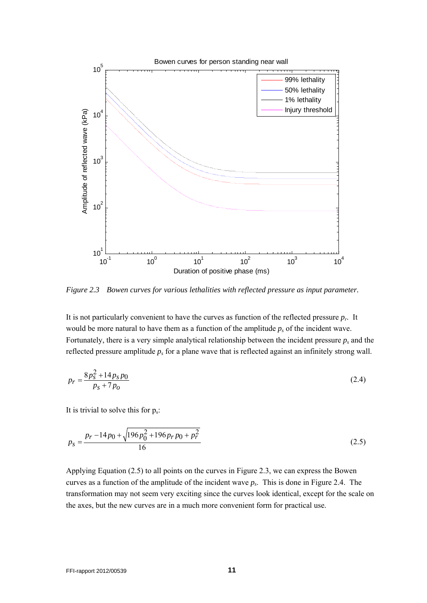

*Figure 2.3 Bowen curves for various lethalities with reflected pressure as input parameter.* 

It is not particularly convenient to have the curves as function of the reflected pressure *pr*. It would be more natural to have them as a function of the amplitude  $p_s$  of the incident wave. Fortunately, there is a very simple analytical relationship between the incident pressure  $p_s$  and the reflected pressure amplitude  $p_s$  for a plane wave that is reflected against an infinitely strong wall.

$$
p_r = \frac{8p_s^2 + 14p_s p_0}{p_s + 7p_o} \tag{2.4}
$$

It is trivial to solve this for  $p_s$ :

$$
p_s = \frac{p_r - 14p_0 + \sqrt{196p_0^2 + 196p_r p_0 + p_r^2}}{16}
$$
 (2.5)

Applying Equation (2.5) to all points on the curves in Figure 2.3, we can express the Bowen curves as a function of the amplitude of the incident wave *ps*. This is done in Figure 2.4. The transformation may not seem very exciting since the curves look identical, except for the scale on the axes, but the new curves are in a much more convenient form for practical use.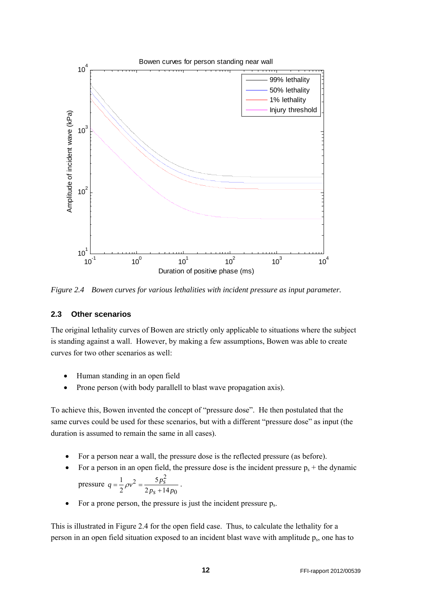

*Figure 2.4 Bowen curves for various lethalities with incident pressure as input parameter.* 

#### **2.3 Other scenarios**

The original lethality curves of Bowen are strictly only applicable to situations where the subject is standing against a wall. However, by making a few assumptions, Bowen was able to create curves for two other scenarios as well:

• Human standing in an open field

2

Prone person (with body parallell to blast wave propagation axis).

To achieve this, Bowen invented the concept of "pressure dose". He then postulated that the same curves could be used for these scenarios, but with a different "pressure dose" as input (the duration is assumed to remain the same in all cases).

- For a person near a wall, the pressure dose is the reflected pressure (as before).
- For a person in an open field, the pressure dose is the incident pressure  $p_s$  + the dynamic pressure  $q = \frac{1}{2}\rho v^2 = \frac{5p_s^2}{2}$ 5 1 *s*  $v^2 = \frac{5p}{2}$  $q = \frac{1}{2}\rho v^2 = \frac{3p_s}{2p_s + 14p_0}$ .
- $\boldsymbol{0}$ • For a prone person, the pressure is just the incident pressure  $p_s$ .

 $2 p_s + 14$ 

*s*

This is illustrated in Figure 2.4 for the open field case. Thus, to calculate the lethality for a person in an open field situation exposed to an incident blast wave with amplitude  $p_s$ , one has to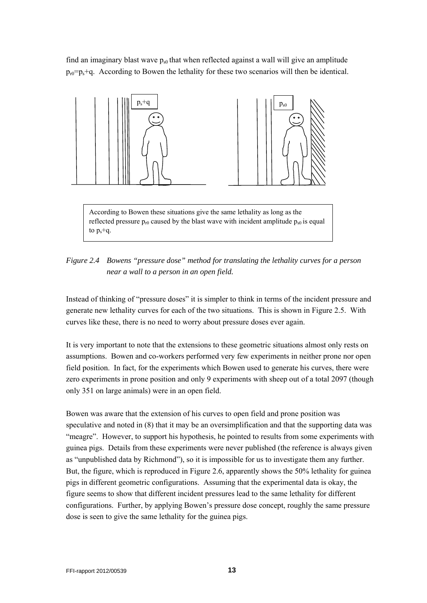find an imaginary blast wave  $p_{s0}$  that when reflected against a wall will give an amplitude  $p_{r0}=p_s+q$ . According to Bowen the lethality for these two scenarios will then be identical.



According to Bowen these situations give the same lethality as long as the reflected pressure  $p_{r0}$  caused by the blast wave with incident amplitude  $p_{s0}$  is equal to  $p_s$ +q.

*Figure 2.4 Bowens "pressure dose" method for translating the lethality curves for a person near a wall to a person in an open field.* 

Instead of thinking of "pressure doses" it is simpler to think in terms of the incident pressure and generate new lethality curves for each of the two situations. This is shown in Figure 2.5. With curves like these, there is no need to worry about pressure doses ever again.

It is very important to note that the extensions to these geometric situations almost only rests on assumptions. Bowen and co-workers performed very few experiments in neither prone nor open field position. In fact, for the experiments which Bowen used to generate his curves, there were zero experiments in prone position and only 9 experiments with sheep out of a total 2097 (though only 351 on large animals) were in an open field.

Bowen was aware that the extension of his curves to open field and prone position was speculative and noted in (8) that it may be an oversimplification and that the supporting data was "meagre". However, to support his hypothesis, he pointed to results from some experiments with guinea pigs. Details from these experiments were never published (the reference is always given as "unpublished data by Richmond"), so it is impossible for us to investigate them any further. But, the figure, which is reproduced in Figure 2.6, apparently shows the 50% lethality for guinea pigs in different geometric configurations. Assuming that the experimental data is okay, the figure seems to show that different incident pressures lead to the same lethality for different configurations. Further, by applying Bowen's pressure dose concept, roughly the same pressure dose is seen to give the same lethality for the guinea pigs.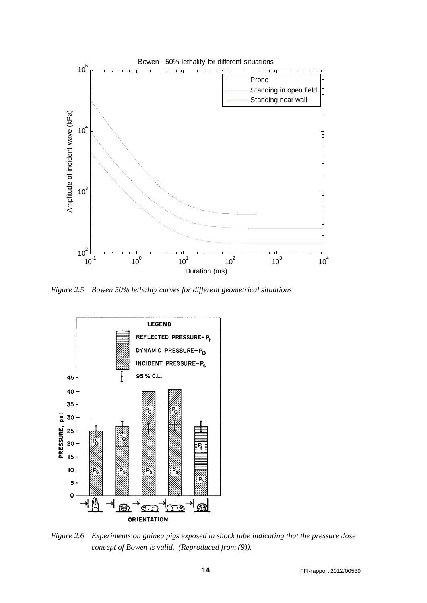

*Figure 2.5 Bowen 50% lethality curves for different geometrical situations* 



*Figure 2.6 Experiments on guinea pigs exposed in shock tube indicating that the pressure dose concept of Bowen is valid. (Reproduced from (9)).*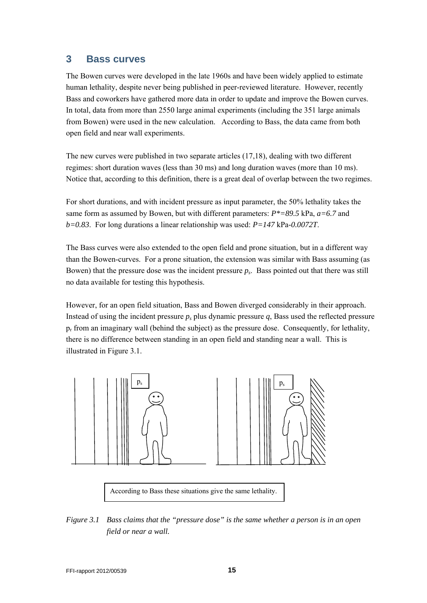#### **3 Bass curves**

The Bowen curves were developed in the late 1960s and have been widely applied to estimate human lethality, despite never being published in peer-reviewed literature. However, recently Bass and coworkers have gathered more data in order to update and improve the Bowen curves. In total, data from more than 2550 large animal experiments (including the 351 large animals from Bowen) were used in the new calculation. According to Bass, the data came from both open field and near wall experiments.

The new curves were published in two separate articles (17,18), dealing with two different regimes: short duration waves (less than 30 ms) and long duration waves (more than 10 ms). Notice that, according to this definition, there is a great deal of overlap between the two regimes.

For short durations, and with incident pressure as input parameter, the 50% lethality takes the same form as assumed by Bowen, but with different parameters: *P\*=89.5* kPa, *a=6.7* and *b=0.83*. For long durations a linear relationship was used: *P=147* kPa*-0.0072T*.

The Bass curves were also extended to the open field and prone situation, but in a different way than the Bowen-curves. For a prone situation, the extension was similar with Bass assuming (as Bowen) that the pressure dose was the incident pressure  $p_s$ . Bass pointed out that there was still no data available for testing this hypothesis.

However, for an open field situation, Bass and Bowen diverged considerably in their approach. Instead of using the incident pressure  $p_s$  plus dynamic pressure  $q_s$ . Bass used the reflected pressure  $p_r$  from an imaginary wall (behind the subject) as the pressure dose. Consequently, for lethality, there is no difference between standing in an open field and standing near a wall. This is illustrated in Figure 3.1.



According to Bass these situations give the same lethality.

*Figure 3.1 Bass claims that the "pressure dose" is the same whether a person is in an open field or near a wall.*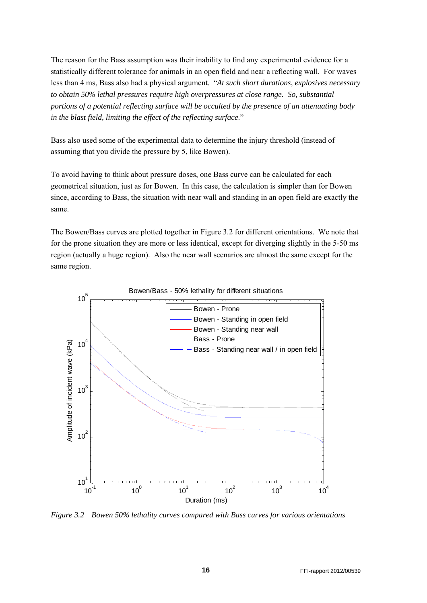The reason for the Bass assumption was their inability to find any experimental evidence for a statistically different tolerance for animals in an open field and near a reflecting wall. For waves less than 4 ms, Bass also had a physical argument. "*At such short durations, explosives necessary to obtain 50% lethal pressures require high overpressures at close range. So, substantial portions of a potential reflecting surface will be occulted by the presence of an attenuating body in the blast field, limiting the effect of the reflecting surface*."

Bass also used some of the experimental data to determine the injury threshold (instead of assuming that you divide the pressure by 5, like Bowen).

To avoid having to think about pressure doses, one Bass curve can be calculated for each geometrical situation, just as for Bowen. In this case, the calculation is simpler than for Bowen since, according to Bass, the situation with near wall and standing in an open field are exactly the same.

The Bowen/Bass curves are plotted together in Figure 3.2 for different orientations. We note that for the prone situation they are more or less identical, except for diverging slightly in the 5-50 ms region (actually a huge region). Also the near wall scenarios are almost the same except for the same region.



*Figure 3.2 Bowen 50% lethality curves compared with Bass curves for various orientations*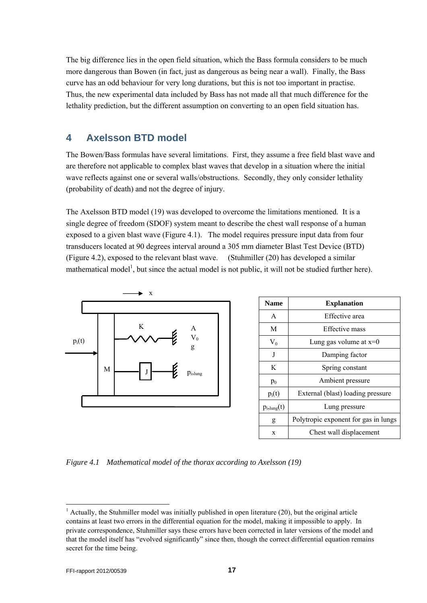The big difference lies in the open field situation, which the Bass formula considers to be much more dangerous than Bowen (in fact, just as dangerous as being near a wall). Finally, the Bass curve has an odd behaviour for very long durations, but this is not too important in practise. Thus, the new experimental data included by Bass has not made all that much difference for the lethality prediction, but the different assumption on converting to an open field situation has.

## **4 Axelsson BTD model**

The Bowen/Bass formulas have several limitations. First, they assume a free field blast wave and are therefore not applicable to complex blast waves that develop in a situation where the initial wave reflects against one or several walls/obstructions. Secondly, they only consider lethality (probability of death) and not the degree of injury.

The Axelsson BTD model (19) was developed to overcome the limitations mentioned. It is a single degree of freedom (SDOF) system meant to describe the chest wall response of a human exposed to a given blast wave (Figure 4.1). The model requires pressure input data from four transducers located at 90 degrees interval around a 305 mm diameter Blast Test Device (BTD) (Figure 4.2), exposed to the relevant blast wave. (Stuhmiller (20) has developed a similar mathematical model<sup>1</sup>, but since the actual model is not public, it will not be studied further here).



| <b>Name</b>            | <b>Explanation</b>                   |  |  |
|------------------------|--------------------------------------|--|--|
| A                      | Effective area                       |  |  |
| M                      | Effective mass                       |  |  |
| $V_0$                  | Lung gas volume at $x=0$             |  |  |
| J                      | Damping factor                       |  |  |
| K                      | Spring constant                      |  |  |
| $p_0$                  | Ambient pressure                     |  |  |
| $p_i(t)$               | External (blast) loading pressure    |  |  |
| $p_{i,\text{lung}}(t)$ | Lung pressure                        |  |  |
| g                      | Polytropic exponent for gas in lungs |  |  |
| X                      | Chest wall displacement              |  |  |

*Figure 4.1 Mathematical model of the thorax according to Axelsson (19)* 

l

 $<sup>1</sup>$  Actually, the Stuhmiller model was initially published in open literature (20), but the original article</sup> contains at least two errors in the differential equation for the model, making it impossible to apply. In private correspondence, Stuhmiller says these errors have been corrected in later versions of the model and that the model itself has "evolved significantly" since then, though the correct differential equation remains secret for the time being.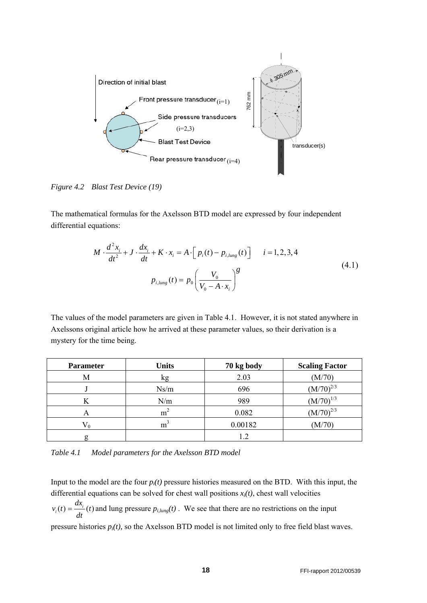

*Figure 4.2 Blast Test Device (19)* 

The mathematical formulas for the Axelsson BTD model are expressed by four independent differential equations:

$$
M \cdot \frac{d^2 x_i}{dt^2} + J \cdot \frac{dx_i}{dt} + K \cdot x_i = A \cdot [p_i(t) - p_{i, lung}(t)] \qquad i = 1, 2, 3, 4
$$
  

$$
p_{i, lung}(t) = p_0 \left(\frac{V_0}{V_0 - A \cdot x_i}\right)^g
$$
 (4.1)

The values of the model parameters are given in Table 4.1. However, it is not stated anywhere in Axelssons original article how he arrived at these parameter values, so their derivation is a mystery for the time being.

| <b>Parameter</b> | <b>Units</b>   | 70 kg body | <b>Scaling Factor</b> |
|------------------|----------------|------------|-----------------------|
| М                | kg             | 2.03       | (M/70)                |
|                  | Ns/m           | 696        | $(M/70)^{2/3}$        |
| K                | N/m            | 989        | $(M/70)^{1/3}$        |
| A                | m <sup>2</sup> | 0.082      | $(M/70)^{2/3}$        |
|                  | m <sup>3</sup> | 0.00182    | (M/70)                |
|                  |                | 1.2        |                       |

*Table 4.1 Model parameters for the Axelsson BTD model* 

Input to the model are the four *pi(t)* pressure histories measured on the BTD. With this input, the differential equations can be solved for chest wall positions  $x_i(t)$ , chest wall velocities

 $\sum_{i}(t) = \frac{ax_{i}}{b}(t)$  $v_i(t) = \frac{dx_i}{dt}(t)$  and lung pressure  $p_{i, lung}(t)$ . We see that there are no restrictions on the input

pressure histories *pi(t),* so the Axelsson BTD model is not limited only to free field blast waves.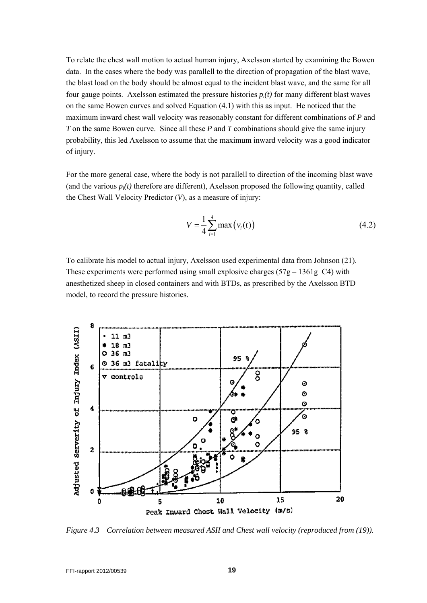To relate the chest wall motion to actual human injury, Axelsson started by examining the Bowen data. In the cases where the body was parallell to the direction of propagation of the blast wave, the blast load on the body should be almost equal to the incident blast wave, and the same for all four gauge points. Axelsson estimated the pressure histories  $p_i(t)$  for many different blast waves on the same Bowen curves and solved Equation (4.1) with this as input. He noticed that the maximum inward chest wall velocity was reasonably constant for different combinations of *P* and *T* on the same Bowen curve. Since all these *P* and *T* combinations should give the same injury probability, this led Axelsson to assume that the maximum inward velocity was a good indicator of injury.

For the more general case, where the body is not parallell to direction of the incoming blast wave (and the various  $p_i(t)$  therefore are different), Axelsson proposed the following quantity, called the Chest Wall Velocity Predictor (*V*), as a measure of injury:

$$
V = \frac{1}{4} \sum_{i=1}^{4} \max(v_i(t))
$$
\n(4.2)

To calibrate his model to actual injury, Axelsson used experimental data from Johnson (21). These experiments were performed using small explosive charges  $(57g - 1361g)$  C4) with anesthetized sheep in closed containers and with BTDs, as prescribed by the Axelsson BTD model, to record the pressure histories.



*Figure 4.3 Correlation between measured ASII and Chest wall velocity (reproduced from (19)).*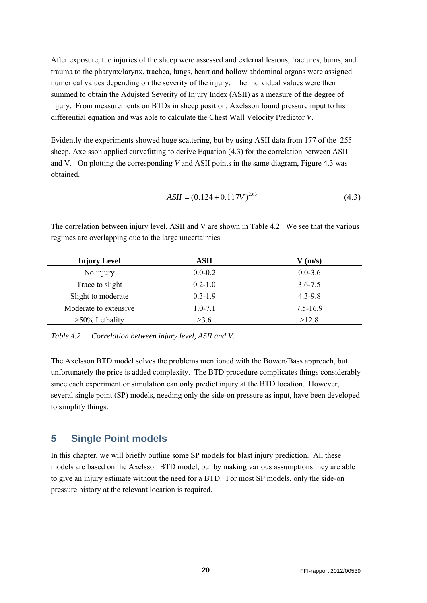After exposure, the injuries of the sheep were assessed and external lesions, fractures, burns, and trauma to the pharynx/larynx, trachea, lungs, heart and hollow abdominal organs were assigned numerical values depending on the severity of the injury. The individual values were then summed to obtain the Adujsted Severity of Injury Index (ASII) as a measure of the degree of injury. From measurements on BTDs in sheep position, Axelsson found pressure input to his differential equation and was able to calculate the Chest Wall Velocity Predictor *V*.

Evidently the experiments showed huge scattering, but by using ASII data from 177 of the 255 sheep, Axelsson applied curvefitting to derive Equation (4.3) for the correlation between ASII and V. On plotting the corresponding *V* and ASII points in the same diagram, Figure 4.3 was obtained.

$$
ASII = (0.124 + 0.117V)^{2.63}
$$
\n
$$
(4.3)
$$

| <b>Injury Level</b>   | <b>ASII</b> | $V$ (m/s)    |
|-----------------------|-------------|--------------|
| No injury             | $0.0 - 0.2$ | $0.0 - 3.6$  |
| Trace to slight       | $0.2 - 1.0$ | $3.6 - 7.5$  |
| Slight to moderate    | $0.3 - 1.9$ | $4.3 - 9.8$  |
| Moderate to extensive | $1.0 - 7.1$ | $7.5 - 16.9$ |
| $>50\%$ Lethality     | >3.6        | >12.8        |

The correlation between injury level, ASII and V are shown in Table 4.2. We see that the various regimes are overlapping due to the large uncertainties.

*Table 4.2 Correlation between injury level, ASII and V.* 

The Axelsson BTD model solves the problems mentioned with the Bowen/Bass approach, but unfortunately the price is added complexity. The BTD procedure complicates things considerably since each experiment or simulation can only predict injury at the BTD location. However, several single point (SP) models, needing only the side-on pressure as input, have been developed to simplify things.

## **5 Single Point models**

In this chapter, we will briefly outline some SP models for blast injury prediction. All these models are based on the Axelsson BTD model, but by making various assumptions they are able to give an injury estimate without the need for a BTD. For most SP models, only the side-on pressure history at the relevant location is required.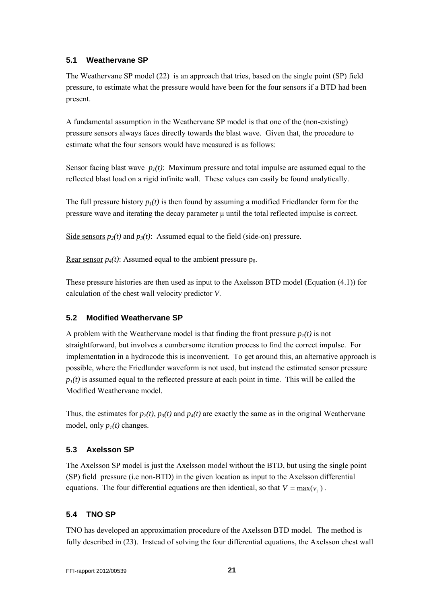#### **5.1 Weathervane SP**

The Weathervane SP model (22) is an approach that tries, based on the single point (SP) field pressure, to estimate what the pressure would have been for the four sensors if a BTD had been present.

A fundamental assumption in the Weathervane SP model is that one of the (non-existing) pressure sensors always faces directly towards the blast wave. Given that, the procedure to estimate what the four sensors would have measured is as follows:

Sensor facing blast wave  $p_1(t)$ : Maximum pressure and total impulse are assumed equal to the reflected blast load on a rigid infinite wall. These values can easily be found analytically.

The full pressure history  $p_1(t)$  is then found by assuming a modified Friedlander form for the pressure wave and iterating the decay parameter μ until the total reflected impulse is correct.

Side sensors  $p_2(t)$  and  $p_3(t)$ : Assumed equal to the field (side-on) pressure.

Rear sensor  $p_4(t)$ : Assumed equal to the ambient pressure  $p_0$ .

These pressure histories are then used as input to the Axelsson BTD model (Equation (4.1)) for calculation of the chest wall velocity predictor *V*.

#### **5.2 Modified Weathervane SP**

A problem with the Weathervane model is that finding the front pressure  $p_1(t)$  is not straightforward, but involves a cumbersome iteration process to find the correct impulse. For implementation in a hydrocode this is inconvenient. To get around this, an alternative approach is possible, where the Friedlander waveform is not used, but instead the estimated sensor pressure  $p_1(t)$  is assumed equal to the reflected pressure at each point in time. This will be called the Modified Weathervane model.

Thus, the estimates for  $p_2(t)$ ,  $p_3(t)$  and  $p_4(t)$  are exactly the same as in the original Weathervane model, only  $p_1(t)$  changes.

#### **5.3 Axelsson SP**

The Axelsson SP model is just the Axelsson model without the BTD, but using the single point (SP) field pressure (i.e non-BTD) in the given location as input to the Axelsson differential equations. The four differential equations are then identical, so that  $V = \max(v, )$ .

#### **5.4 TNO SP**

TNO has developed an approximation procedure of the Axelsson BTD model. The method is fully described in (23). Instead of solving the four differential equations, the Axelsson chest wall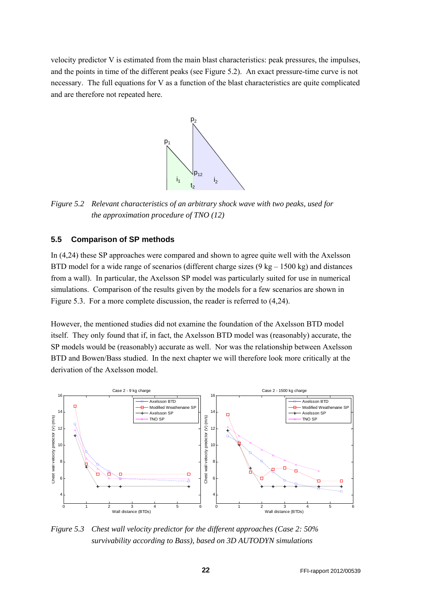velocity predictor V is estimated from the main blast characteristics: peak pressures, the impulses, and the points in time of the different peaks (see Figure 5.2). An exact pressure-time curve is not necessary. The full equations for V as a function of the blast characteristics are quite complicated and are therefore not repeated here.



*Figure 5.2 Relevant characteristics of an arbitrary shock wave with two peaks, used for the approximation procedure of TNO (12)* 

#### **5.5 Comparison of SP methods**

In (4,24) these SP approaches were compared and shown to agree quite well with the Axelsson BTD model for a wide range of scenarios (different charge sizes  $(9 \text{ kg} - 1500 \text{ kg})$  and distances from a wall). In particular, the Axelsson SP model was particularly suited for use in numerical simulations. Comparison of the results given by the models for a few scenarios are shown in Figure 5.3. For a more complete discussion, the reader is referred to (4,24).

However, the mentioned studies did not examine the foundation of the Axelsson BTD model itself. They only found that if, in fact, the Axelsson BTD model was (reasonably) accurate, the SP models would be (reasonably) accurate as well. Nor was the relationship between Axelsson BTD and Bowen/Bass studied. In the next chapter we will therefore look more critically at the derivation of the Axelsson model.



*Figure 5.3 Chest wall velocity predictor for the different approaches (Case 2: 50% survivability according to Bass), based on 3D AUTODYN simulations*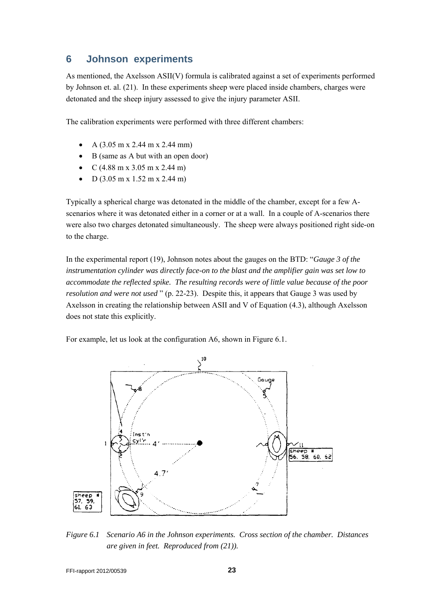#### **6 Johnson experiments**

As mentioned, the Axelsson ASII(V) formula is calibrated against a set of experiments performed by Johnson et. al. (21). In these experiments sheep were placed inside chambers, charges were detonated and the sheep injury assessed to give the injury parameter ASII.

The calibration experiments were performed with three different chambers:

- A (3.05 m x 2.44 m x 2.44 mm)
- B (same as A but with an open door)
- C (4.88 m x 3.05 m x 2.44 m)
- D (3.05 m x 1.52 m x 2.44 m)

Typically a spherical charge was detonated in the middle of the chamber, except for a few Ascenarios where it was detonated either in a corner or at a wall. In a couple of A-scenarios there were also two charges detonated simultaneously. The sheep were always positioned right side-on to the charge.

In the experimental report (19), Johnson notes about the gauges on the BTD: "*Gauge 3 of the instrumentation cylinder was directly face-on to the blast and the amplifier gain was set low to accommodate the reflected spike. The resulting records were of little value because of the poor resolution and were not used* " (p. 22-23). Despite this, it appears that Gauge 3 was used by Axelsson in creating the relationship between ASII and V of Equation (4.3), although Axelsson does not state this explicitly.

For example, let us look at the configuration A6, shown in Figure 6.1.



*Figure 6.1 Scenario A6 in the Johnson experiments. Cross section of the chamber. Distances are given in feet. Reproduced from (21)).*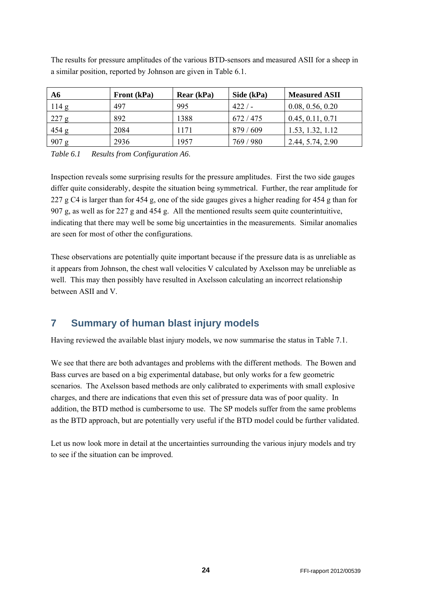| A6      | Front (kPa) | Rear (kPa) | Side (kPa) | <b>Measured ASII</b> |
|---------|-------------|------------|------------|----------------------|
| 114g    | 497         | 995        | $422/$ –   | 0.08, 0.56, 0.20     |
| 227 g   | 892         | 1388       | 672 / 475  | 0.45, 0.11, 0.71     |
| 454 g   | 2084        | 1171       | 879 / 609  | 1.53, 1.32, 1.12     |
| $907$ g | 2936        | 1957       | 769 / 980  | 2.44, 5.74, 2.90     |

The results for pressure amplitudes of the various BTD-sensors and measured ASII for a sheep in a similar position, reported by Johnson are given in Table 6.1.

*Table 6.1 Results from Configuration A6*.

Inspection reveals some surprising results for the pressure amplitudes. First the two side gauges differ quite considerably, despite the situation being symmetrical. Further, the rear amplitude for 227 g C4 is larger than for 454 g, one of the side gauges gives a higher reading for 454 g than for 907 g, as well as for 227 g and 454 g. All the mentioned results seem quite counterintuitive, indicating that there may well be some big uncertainties in the measurements. Similar anomalies are seen for most of other the configurations.

These observations are potentially quite important because if the pressure data is as unreliable as it appears from Johnson, the chest wall velocities V calculated by Axelsson may be unreliable as well. This may then possibly have resulted in Axelsson calculating an incorrect relationship between ASII and V.

## **7 Summary of human blast injury models**

Having reviewed the available blast injury models, we now summarise the status in Table 7.1.

We see that there are both advantages and problems with the different methods. The Bowen and Bass curves are based on a big experimental database, but only works for a few geometric scenarios. The Axelsson based methods are only calibrated to experiments with small explosive charges, and there are indications that even this set of pressure data was of poor quality. In addition, the BTD method is cumbersome to use. The SP models suffer from the same problems as the BTD approach, but are potentially very useful if the BTD model could be further validated.

Let us now look more in detail at the uncertainties surrounding the various injury models and try to see if the situation can be improved.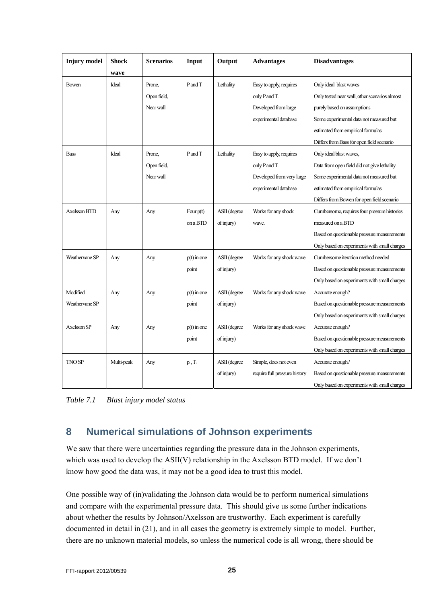| <b>Injury</b> model | Shock      | <b>Scenarios</b> | Input         | Output       | <b>Advantages</b>             | <b>Disadvantages</b>                          |
|---------------------|------------|------------------|---------------|--------------|-------------------------------|-----------------------------------------------|
|                     | wave       |                  |               |              |                               |                                               |
| Bowen               | Ideal      | Prone,           | P and T       | Lethality    | Easy to apply, requires       | Only ideal blast waves                        |
|                     |            | Open field,      |               |              | only P and T.                 | Only tested near wall, other scenarios almost |
|                     |            | Near wall        |               |              | Developed from large          | purely based on assumptions                   |
|                     |            |                  |               |              | experimental database         | Some experimental data not measured but       |
|                     |            |                  |               |              |                               | estimated from empirical formulas             |
|                     |            |                  |               |              |                               | Differs from Bass for open field scenario     |
| <b>Bass</b>         | Ideal      | Prone,           | PandT         | Lethality    | Easy to apply, requires       | Only ideal blast waves,                       |
|                     |            | Open field,      |               |              | only P and T.                 | Data from open field did not give lethality   |
|                     |            | Near wall        |               |              | Developed from very large     | Some experimental data not measured but       |
|                     |            |                  |               |              | experimental database         | estimated from empirical formulas             |
|                     |            |                  |               |              |                               | Differs from Bowen for open field scenario    |
| Axelsson BTD        | Any        | Any              | Four $p(t)$   | ASII (degree | Works for any shock           | Cumbersome, requires four pressure histories  |
|                     |            |                  | on a BTD      | of injury)   | wave.                         | measured on a BTD                             |
|                     |            |                  |               |              |                               | Based on questionable pressure measurements   |
|                     |            |                  |               |              |                               | Only based on experiments with small charges  |
| Weathervane SP      | Any        | Any              | $p(t)$ in one | ASII (degree | Works for any shock wave      | Cumbersome iteration method needed            |
|                     |            |                  | point         | of injury)   |                               | Based on questionable pressure measurements   |
|                     |            |                  |               |              |                               | Only based on experiments with small charges  |
| Modified            | Any        | Any              | $p(t)$ in one | ASII (degree | Works for any shock wave      | Accurate enough?                              |
| Weathervane SP      |            |                  | point         | of injury)   |                               | Based on questionable pressure measurements   |
|                     |            |                  |               |              |                               | Only based on experiments with small charges  |
| Axelsson SP         | Any        | Any              | $p(t)$ in one | ASII (degree | Works for any shock wave      | Accurate enough?                              |
|                     |            |                  | point         | of injury)   |                               | Based on questionable pressure measurements   |
|                     |            |                  |               |              |                               | Only based on experiments with small charges  |
| <b>TNO SP</b>       | Multi-peak | Any              | $p_i, T_i$    | ASII (degree | Simple, does not even         | Accurate enough?                              |
|                     |            |                  |               | of injury)   | require full pressure history | Based on questionable pressure measurements   |
|                     |            |                  |               |              |                               | Only based on experiments with small charges  |

*Table 7.1 Blast injury model status* 

## **8 Numerical simulations of Johnson experiments**

We saw that there were uncertainties regarding the pressure data in the Johnson experiments, which was used to develop the ASII(V) relationship in the Axelsson BTD model. If we don't know how good the data was, it may not be a good idea to trust this model.

One possible way of (in)validating the Johnson data would be to perform numerical simulations and compare with the experimental pressure data. This should give us some further indications about whether the results by Johnson/Axelsson are trustworthy. Each experiment is carefully documented in detail in (21), and in all cases the geometry is extremely simple to model. Further, there are no unknown material models, so unless the numerical code is all wrong, there should be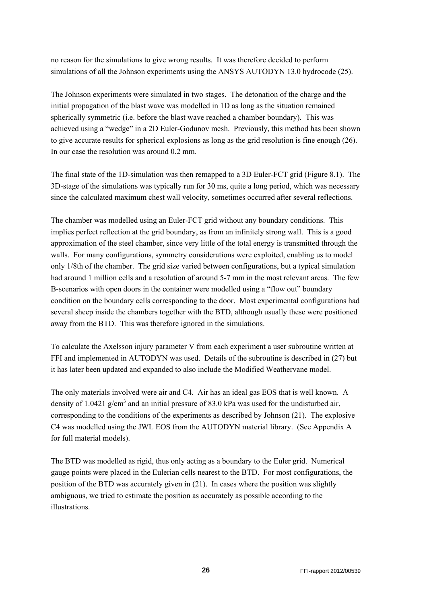no reason for the simulations to give wrong results. It was therefore decided to perform simulations of all the Johnson experiments using the ANSYS AUTODYN 13.0 hydrocode (25).

The Johnson experiments were simulated in two stages. The detonation of the charge and the initial propagation of the blast wave was modelled in 1D as long as the situation remained spherically symmetric (i.e. before the blast wave reached a chamber boundary). This was achieved using a "wedge" in a 2D Euler-Godunov mesh. Previously, this method has been shown to give accurate results for spherical explosions as long as the grid resolution is fine enough (26). In our case the resolution was around 0.2 mm.

The final state of the 1D-simulation was then remapped to a 3D Euler-FCT grid (Figure 8.1). The 3D-stage of the simulations was typically run for 30 ms, quite a long period, which was necessary since the calculated maximum chest wall velocity, sometimes occurred after several reflections.

The chamber was modelled using an Euler-FCT grid without any boundary conditions. This implies perfect reflection at the grid boundary, as from an infinitely strong wall. This is a good approximation of the steel chamber, since very little of the total energy is transmitted through the walls. For many configurations, symmetry considerations were exploited, enabling us to model only 1/8th of the chamber. The grid size varied between configurations, but a typical simulation had around 1 million cells and a resolution of around 5-7 mm in the most relevant areas. The few B-scenarios with open doors in the container were modelled using a "flow out" boundary condition on the boundary cells corresponding to the door. Most experimental configurations had several sheep inside the chambers together with the BTD, although usually these were positioned away from the BTD. This was therefore ignored in the simulations.

To calculate the Axelsson injury parameter V from each experiment a user subroutine written at FFI and implemented in AUTODYN was used. Details of the subroutine is described in (27) but it has later been updated and expanded to also include the Modified Weathervane model.

The only materials involved were air and C4. Air has an ideal gas EOS that is well known. A density of 1.0421  $g/cm<sup>3</sup>$  and an initial pressure of 83.0 kPa was used for the undisturbed air, corresponding to the conditions of the experiments as described by Johnson (21). The explosive C4 was modelled using the JWL EOS from the AUTODYN material library. (See Appendix A for full material models).

The BTD was modelled as rigid, thus only acting as a boundary to the Euler grid. Numerical gauge points were placed in the Eulerian cells nearest to the BTD. For most configurations, the position of the BTD was accurately given in (21). In cases where the position was slightly ambiguous, we tried to estimate the position as accurately as possible according to the illustrations.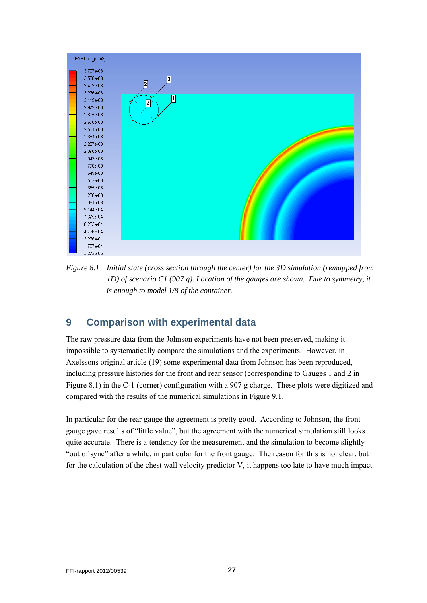

*Figure 8.1 Initial state (cross section through the center) for the 3D simulation (remapped from 1D) of scenario C1 (907 g). Location of the gauges are shown. Due to symmetry, it is enough to model 1/8 of the container.* 

## **9 Comparison with experimental data**

The raw pressure data from the Johnson experiments have not been preserved, making it impossible to systematically compare the simulations and the experiments. However, in Axelssons original article (19) some experimental data from Johnson has been reproduced, including pressure histories for the front and rear sensor (corresponding to Gauges 1 and 2 in Figure 8.1) in the C-1 (corner) configuration with a 907 g charge. These plots were digitized and compared with the results of the numerical simulations in Figure 9.1.

In particular for the rear gauge the agreement is pretty good. According to Johnson, the front gauge gave results of "little value", but the agreement with the numerical simulation still looks quite accurate. There is a tendency for the measurement and the simulation to become slightly "out of sync" after a while, in particular for the front gauge. The reason for this is not clear, but for the calculation of the chest wall velocity predictor V, it happens too late to have much impact.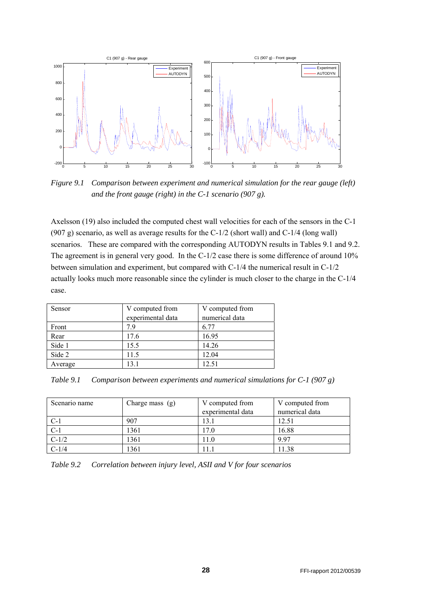

*Figure 9.1 Comparison between experiment and numerical simulation for the rear gauge (left) and the front gauge (right) in the C-1 scenario (907 g).* 

Axelsson (19) also included the computed chest wall velocities for each of the sensors in the C-1 (907 g) scenario, as well as average results for the C-1/2 (short wall) and C-1/4 (long wall) scenarios. These are compared with the corresponding AUTODYN results in Tables 9.1 and 9.2. The agreement is in general very good. In the C-1/2 case there is some difference of around 10% between simulation and experiment, but compared with C-1/4 the numerical result in C-1/2 actually looks much more reasonable since the cylinder is much closer to the charge in the C-1/4 case.

| Sensor  | V computed from<br>experimental data | V computed from<br>numerical data |
|---------|--------------------------------------|-----------------------------------|
|         |                                      |                                   |
| Front   | 7.9                                  | 6.77                              |
| Rear    | 17.6                                 | 16.95                             |
|         |                                      |                                   |
| Side 1  | 15.5                                 | 14.26                             |
| Side 2  | 11.5                                 | 12.04                             |
|         |                                      |                                   |
| Average | 13.1                                 | 12.51                             |

*Table 9.1 Comparison between experiments and numerical simulations for C-1 (907 g)* 

| Scenario name | Charge mass $(g)$ | V computed from<br>experimental data | V computed from<br>numerical data |
|---------------|-------------------|--------------------------------------|-----------------------------------|
| $C-1$         | 907               | 13.1                                 | 12.51                             |
| $C-1$         | 1361              | 17.0                                 | 16.88                             |
| $C-1/2$       | 1361              | 11.0                                 | 997                               |
| $C-1/4$       | 1361              | .1.1                                 | 11.38                             |

*Table 9.2 Correlation between injury level, ASII and V for four scenarios*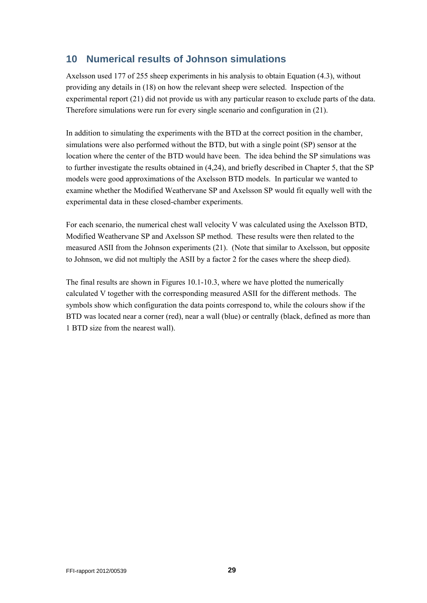## **10 Numerical results of Johnson simulations**

Axelsson used 177 of 255 sheep experiments in his analysis to obtain Equation (4.3), without providing any details in (18) on how the relevant sheep were selected. Inspection of the experimental report (21) did not provide us with any particular reason to exclude parts of the data. Therefore simulations were run for every single scenario and configuration in (21).

In addition to simulating the experiments with the BTD at the correct position in the chamber, simulations were also performed without the BTD, but with a single point (SP) sensor at the location where the center of the BTD would have been. The idea behind the SP simulations was to further investigate the results obtained in (4,24), and briefly described in Chapter 5, that the SP models were good approximations of the Axelsson BTD models. In particular we wanted to examine whether the Modified Weathervane SP and Axelsson SP would fit equally well with the experimental data in these closed-chamber experiments.

For each scenario, the numerical chest wall velocity V was calculated using the Axelsson BTD, Modified Weathervane SP and Axelsson SP method. These results were then related to the measured ASII from the Johnson experiments (21). (Note that similar to Axelsson, but opposite to Johnson, we did not multiply the ASII by a factor 2 for the cases where the sheep died).

The final results are shown in Figures 10.1-10.3, where we have plotted the numerically calculated V together with the corresponding measured ASII for the different methods. The symbols show which configuration the data points correspond to, while the colours show if the BTD was located near a corner (red), near a wall (blue) or centrally (black, defined as more than 1 BTD size from the nearest wall).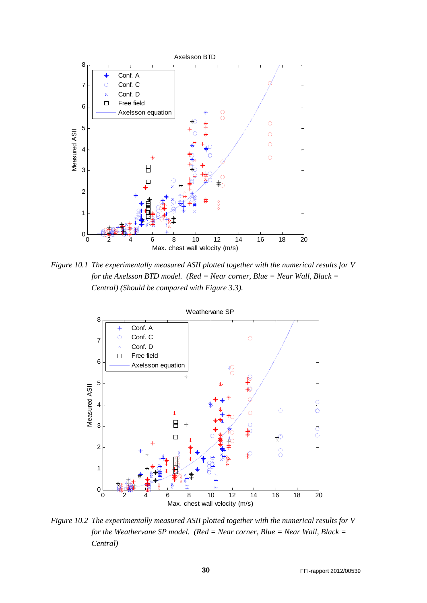

*Figure 10.1 The experimentally measured ASII plotted together with the numerical results for V for the Axelsson BTD model. (Red = Near corner, Blue = Near Wall, Black = Central) (Should be compared with Figure 3.3).* 



*Figure 10.2 The experimentally measured ASII plotted together with the numerical results for V for the Weathervane SP model. (Red = Near corner, Blue = Near Wall, Black = Central)*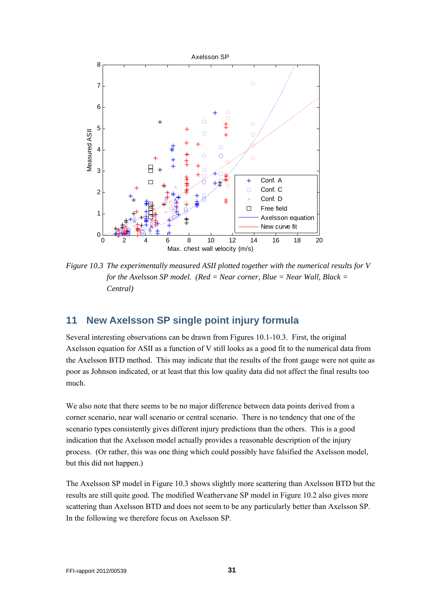

*Figure 10.3 The experimentally measured ASII plotted together with the numerical results for V for the Axelsson SP model. (Red = Near corner, Blue = Near Wall, Black = Central)* 

## **11 New Axelsson SP single point injury formula**

Several interesting observations can be drawn from Figures 10.1-10.3. First, the original Axelsson equation for ASII as a function of V still looks as a good fit to the numerical data from the Axelsson BTD method. This may indicate that the results of the front gauge were not quite as poor as Johnson indicated, or at least that this low quality data did not affect the final results too much.

We also note that there seems to be no major difference between data points derived from a corner scenario, near wall scenario or central scenario. There is no tendency that one of the scenario types consistently gives different injury predictions than the others. This is a good indication that the Axelsson model actually provides a reasonable description of the injury process. (Or rather, this was one thing which could possibly have falsified the Axelsson model, but this did not happen.)

The Axelsson SP model in Figure 10.3 shows slightly more scattering than Axelsson BTD but the results are still quite good. The modified Weathervane SP model in Figure 10.2 also gives more scattering than Axelsson BTD and does not seem to be any particularly better than Axelsson SP. In the following we therefore focus on Axelsson SP.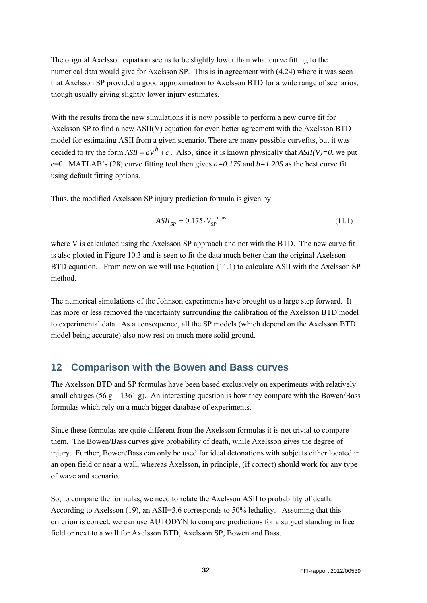The original Axelsson equation seems to be slightly lower than what curve fitting to the numerical data would give for Axelsson SP. This is in agreement with (4,24) where it was seen that Axelsson SP provided a good approximation to Axelsson BTD for a wide range of scenarios, though usually giving slightly lower injury estimates.

With the results from the new simulations it is now possible to perform a new curve fit for Axelsson SP to find a new ASII(V) equation for even better agreement with the Axelsson BTD model for estimating ASII from a given scenario. There are many possible curvefits, but it was decided to try the form  $ASII = aV^b + c$ . Also, since it is known physically that  $ASII(V)=0$ , we put c=0. MATLAB's (28) curve fitting tool then gives  $a=0.175$  and  $b=1.205$  as the best curve fit using default fitting options.

Thus, the modified Axelsson SP injury prediction formula is given by:

$$
ASII_{SP} = 0.175 \cdot V_{SP}^{1.205}
$$
 (11.1)

where V is calculated using the Axelsson SP approach and not with the BTD. The new curve fit is also plotted in Figure 10.3 and is seen to fit the data much better than the original Axelsson BTD equation. From now on we will use Equation (11.1) to calculate ASII with the Axelsson SP method.

The numerical simulations of the Johnson experiments have brought us a large step forward. It has more or less removed the uncertainty surrounding the calibration of the Axelsson BTD model to experimental data. As a consequence, all the SP models (which depend on the Axelsson BTD model being accurate) also now rest on much more solid ground.

#### **12 Comparison with the Bowen and Bass curves**

The Axelsson BTD and SP formulas have been based exclusively on experiments with relatively small charges (56 g – 1361 g). An interesting question is how they compare with the Bowen/Bass formulas which rely on a much bigger database of experiments.

Since these formulas are quite different from the Axelsson formulas it is not trivial to compare them. The Bowen/Bass curves give probability of death, while Axelsson gives the degree of injury. Further, Bowen/Bass can only be used for ideal detonations with subjects either located in an open field or near a wall, whereas Axelsson, in principle, (if correct) should work for any type of wave and scenario.

So, to compare the formulas, we need to relate the Axelsson ASII to probability of death. According to Axelsson (19), an ASII=3.6 corresponds to 50% lethality. Assuming that this criterion is correct, we can use AUTODYN to compare predictions for a subject standing in free field or next to a wall for Axelsson BTD, Axelsson SP, Bowen and Bass.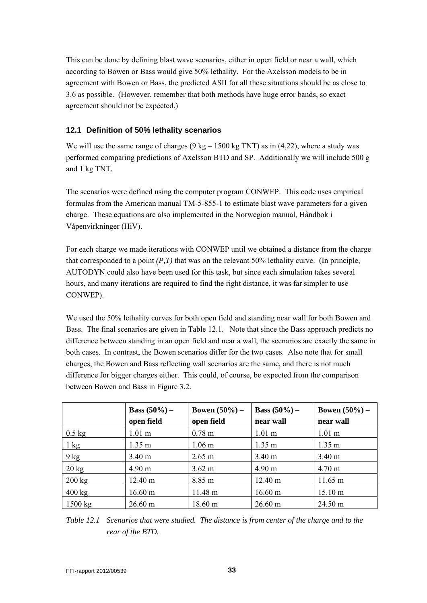This can be done by defining blast wave scenarios, either in open field or near a wall, which according to Bowen or Bass would give 50% lethality. For the Axelsson models to be in agreement with Bowen or Bass, the predicted ASII for all these situations should be as close to 3.6 as possible. (However, remember that both methods have huge error bands, so exact agreement should not be expected.)

#### **12.1 Definition of 50% lethality scenarios**

We will use the same range of charges ( $9 \text{ kg} - 1500 \text{ kg}$  TNT) as in (4,22), where a study was performed comparing predictions of Axelsson BTD and SP. Additionally we will include 500 g and 1 kg TNT.

The scenarios were defined using the computer program CONWEP. This code uses empirical formulas from the American manual TM-5-855-1 to estimate blast wave parameters for a given charge. These equations are also implemented in the Norwegian manual, Håndbok i Våpenvirkninger (HiV).

For each charge we made iterations with CONWEP until we obtained a distance from the charge that corresponded to a point *(P,T)* that was on the relevant 50% lethality curve. (In principle, AUTODYN could also have been used for this task, but since each simulation takes several hours, and many iterations are required to find the right distance, it was far simpler to use CONWEP).

We used the 50% lethality curves for both open field and standing near wall for both Bowen and Bass. The final scenarios are given in Table 12.1. Note that since the Bass approach predicts no difference between standing in an open field and near a wall, the scenarios are exactly the same in both cases. In contrast, the Bowen scenarios differ for the two cases. Also note that for small charges, the Bowen and Bass reflecting wall scenarios are the same, and there is not much difference for bigger charges either. This could, of course, be expected from the comparison between Bowen and Bass in Figure 3.2.

|                   | <b>Bass</b> $(50\%)$ –<br>open field | Bowen $(50\%)$ –<br>open field | <b>Bass</b> $(50\%)$ –<br>near wall | Bowen $(50\%)$ –<br>near wall |
|-------------------|--------------------------------------|--------------------------------|-------------------------------------|-------------------------------|
| $0.5$ kg          | 1.01 <sub>m</sub>                    | 0.78 <sub>m</sub>              | 1.01 <sub>m</sub>                   | $1.01 \text{ m}$              |
| $1 \text{ kg}$    | $1.35 \text{ m}$                     | 1.06 <sub>m</sub>              | $1.35 \text{ m}$                    | $1.35 \text{ m}$              |
| $9$ kg            | 3.40 <sub>m</sub>                    | $2.65 \text{ m}$               | 3.40 <sub>m</sub>                   | $3.40 \text{ m}$              |
| $20 \text{ kg}$   | $4.90 \text{ m}$                     | $3.62 \text{ m}$               | 4.90 <sub>m</sub>                   | $4.70 \text{ m}$              |
| $200 \text{ kg}$  | $12.40 \text{ m}$                    | 8.85 m                         | 12.40 m                             | $11.65 \text{ m}$             |
| $400 \text{ kg}$  | $16.60 \text{ m}$                    | 11.48 m                        | $16.60 \text{ m}$                   | $15.10 \text{ m}$             |
| $1500 \text{ kg}$ | $26.60 \text{ m}$                    | $18.60 \text{ m}$              | $26.60 \text{ m}$                   | $24.50 \text{ m}$             |

*Table 12.1 Scenarios that were studied. The distance is from center of the charge and to the rear of the BTD.*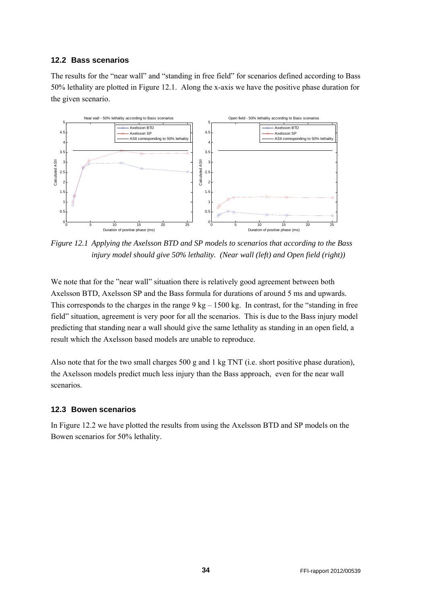#### **12.2 Bass scenarios**

The results for the "near wall" and "standing in free field" for scenarios defined according to Bass 50% lethality are plotted in Figure 12.1. Along the x-axis we have the positive phase duration for the given scenario.



*Figure 12.1 Applying the Axelsson BTD and SP models to scenarios that according to the Bass injury model should give 50% lethality. (Near wall (left) and Open field (right))* 

We note that for the "near wall" situation there is relatively good agreement between both Axelsson BTD, Axelsson SP and the Bass formula for durations of around 5 ms and upwards. This corresponds to the charges in the range  $9 \text{ kg} - 1500 \text{ kg}$ . In contrast, for the "standing in free field" situation, agreement is very poor for all the scenarios. This is due to the Bass injury model predicting that standing near a wall should give the same lethality as standing in an open field, a result which the Axelsson based models are unable to reproduce.

Also note that for the two small charges 500 g and 1 kg TNT (i.e. short positive phase duration), the Axelsson models predict much less injury than the Bass approach, even for the near wall scenarios.

#### **12.3 Bowen scenarios**

In Figure 12.2 we have plotted the results from using the Axelsson BTD and SP models on the Bowen scenarios for 50% lethality.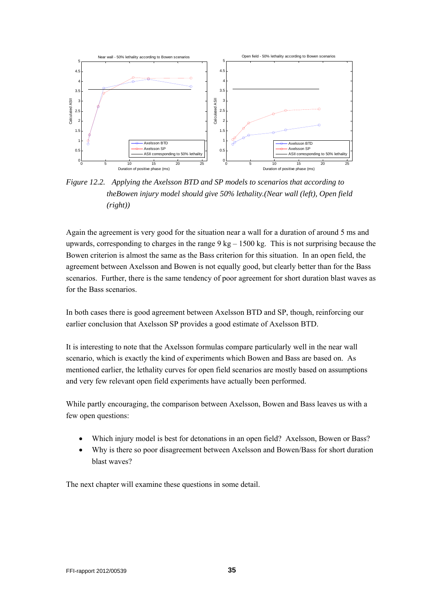

*Figure 12.2. Applying the Axelsson BTD and SP models to scenarios that according to theBowen injury model should give 50% lethality.(Near wall (left), Open field (right))* 

Again the agreement is very good for the situation near a wall for a duration of around 5 ms and upwards, corresponding to charges in the range 9 kg – 1500 kg. This is not surprising because the Bowen criterion is almost the same as the Bass criterion for this situation. In an open field, the agreement between Axelsson and Bowen is not equally good, but clearly better than for the Bass scenarios. Further, there is the same tendency of poor agreement for short duration blast waves as for the Bass scenarios.

In both cases there is good agreement between Axelsson BTD and SP, though, reinforcing our earlier conclusion that Axelsson SP provides a good estimate of Axelsson BTD.

It is interesting to note that the Axelsson formulas compare particularly well in the near wall scenario, which is exactly the kind of experiments which Bowen and Bass are based on. As mentioned earlier, the lethality curves for open field scenarios are mostly based on assumptions and very few relevant open field experiments have actually been performed.

While partly encouraging, the comparison between Axelsson, Bowen and Bass leaves us with a few open questions:

- Which injury model is best for detonations in an open field? Axelsson, Bowen or Bass?
- Why is there so poor disagreement between Axelsson and Bowen/Bass for short duration blast waves?

The next chapter will examine these questions in some detail.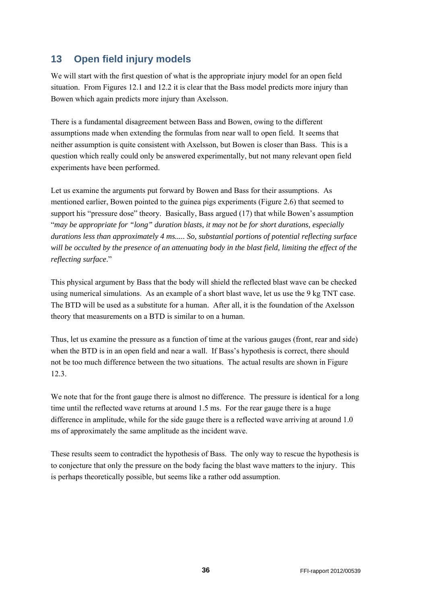## **13 Open field injury models**

We will start with the first question of what is the appropriate injury model for an open field situation. From Figures 12.1 and 12.2 it is clear that the Bass model predicts more injury than Bowen which again predicts more injury than Axelsson.

There is a fundamental disagreement between Bass and Bowen, owing to the different assumptions made when extending the formulas from near wall to open field. It seems that neither assumption is quite consistent with Axelsson, but Bowen is closer than Bass. This is a question which really could only be answered experimentally, but not many relevant open field experiments have been performed.

Let us examine the arguments put forward by Bowen and Bass for their assumptions. As mentioned earlier, Bowen pointed to the guinea pigs experiments (Figure 2.6) that seemed to support his "pressure dose" theory. Basically, Bass argued (17) that while Bowen's assumption "*may be appropriate for "long" duration blasts, it may not be for short durations, especially durations less than approximately 4 ms..... So, substantial portions of potential reflecting surface will be occulted by the presence of an attenuating body in the blast field, limiting the effect of the reflecting surface*."

This physical argument by Bass that the body will shield the reflected blast wave can be checked using numerical simulations. As an example of a short blast wave, let us use the 9 kg TNT case. The BTD will be used as a substitute for a human. After all, it is the foundation of the Axelsson theory that measurements on a BTD is similar to on a human.

Thus, let us examine the pressure as a function of time at the various gauges (front, rear and side) when the BTD is in an open field and near a wall. If Bass's hypothesis is correct, there should not be too much difference between the two situations. The actual results are shown in Figure 12.3.

We note that for the front gauge there is almost no difference. The pressure is identical for a long time until the reflected wave returns at around 1.5 ms. For the rear gauge there is a huge difference in amplitude, while for the side gauge there is a reflected wave arriving at around 1.0 ms of approximately the same amplitude as the incident wave.

These results seem to contradict the hypothesis of Bass. The only way to rescue the hypothesis is to conjecture that only the pressure on the body facing the blast wave matters to the injury. This is perhaps theoretically possible, but seems like a rather odd assumption.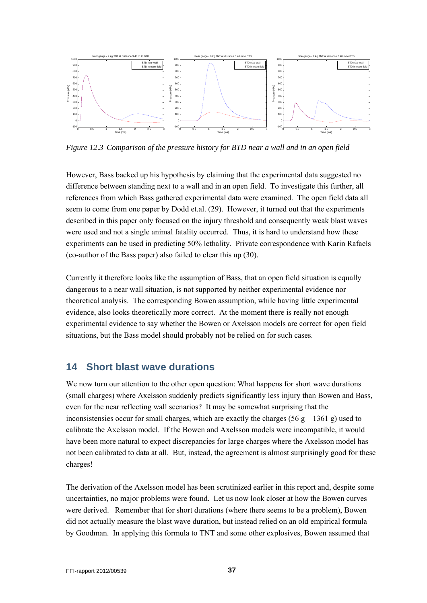

*Figure 12.3 Comparison of the pressure history for BTD near a wall and in an open field* 

However, Bass backed up his hypothesis by claiming that the experimental data suggested no difference between standing next to a wall and in an open field. To investigate this further, all references from which Bass gathered experimental data were examined. The open field data all seem to come from one paper by Dodd et.al. (29). However, it turned out that the experiments described in this paper only focused on the injury threshold and consequently weak blast waves were used and not a single animal fatality occurred. Thus, it is hard to understand how these experiments can be used in predicting 50% lethality. Private correspondence with Karin Rafaels (co-author of the Bass paper) also failed to clear this up (30).

Currently it therefore looks like the assumption of Bass, that an open field situation is equally dangerous to a near wall situation, is not supported by neither experimental evidence nor theoretical analysis. The corresponding Bowen assumption, while having little experimental evidence, also looks theoretically more correct. At the moment there is really not enough experimental evidence to say whether the Bowen or Axelsson models are correct for open field situations, but the Bass model should probably not be relied on for such cases.

## **14 Short blast wave durations**

We now turn our attention to the other open question: What happens for short wave durations (small charges) where Axelsson suddenly predicts significantly less injury than Bowen and Bass, even for the near reflecting wall scenarios? It may be somewhat surprising that the inconsistensies occur for small charges, which are exactly the charges (56 g – 1361 g) used to calibrate the Axelsson model. If the Bowen and Axelsson models were incompatible, it would have been more natural to expect discrepancies for large charges where the Axelsson model has not been calibrated to data at all. But, instead, the agreement is almost surprisingly good for these charges!

The derivation of the Axelsson model has been scrutinized earlier in this report and, despite some uncertainties, no major problems were found. Let us now look closer at how the Bowen curves were derived. Remember that for short durations (where there seems to be a problem), Bowen did not actually measure the blast wave duration, but instead relied on an old empirical formula by Goodman. In applying this formula to TNT and some other explosives, Bowen assumed that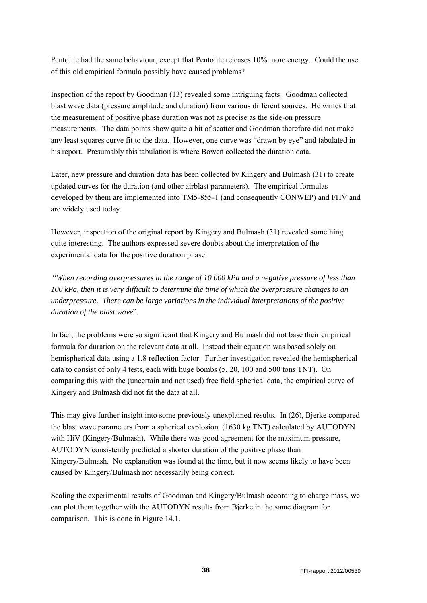Pentolite had the same behaviour, except that Pentolite releases 10% more energy. Could the use of this old empirical formula possibly have caused problems?

Inspection of the report by Goodman (13) revealed some intriguing facts. Goodman collected blast wave data (pressure amplitude and duration) from various different sources. He writes that the measurement of positive phase duration was not as precise as the side-on pressure measurements. The data points show quite a bit of scatter and Goodman therefore did not make any least squares curve fit to the data. However, one curve was "drawn by eye" and tabulated in his report. Presumably this tabulation is where Bowen collected the duration data.

Later, new pressure and duration data has been collected by Kingery and Bulmash (31) to create updated curves for the duration (and other airblast parameters). The empirical formulas developed by them are implemented into TM5-855-1 (and consequently CONWEP) and FHV and are widely used today.

However, inspection of the original report by Kingery and Bulmash (31) revealed something quite interesting. The authors expressed severe doubts about the interpretation of the experimental data for the positive duration phase:

 "*When recording overpressures in the range of 10 000 kPa and a negative pressure of less than 100 kPa, then it is very difficult to determine the time of which the overpressure changes to an underpressure. There can be large variations in the individual interpretations of the positive duration of the blast wave*".

In fact, the problems were so significant that Kingery and Bulmash did not base their empirical formula for duration on the relevant data at all. Instead their equation was based solely on hemispherical data using a 1.8 reflection factor. Further investigation revealed the hemispherical data to consist of only 4 tests, each with huge bombs (5, 20, 100 and 500 tons TNT). On comparing this with the (uncertain and not used) free field spherical data, the empirical curve of Kingery and Bulmash did not fit the data at all.

This may give further insight into some previously unexplained results. In (26), Bjerke compared the blast wave parameters from a spherical explosion (1630 kg TNT) calculated by AUTODYN with HiV (Kingery/Bulmash). While there was good agreement for the maximum pressure, AUTODYN consistently predicted a shorter duration of the positive phase than Kingery/Bulmash. No explanation was found at the time, but it now seems likely to have been caused by Kingery/Bulmash not necessarily being correct.

Scaling the experimental results of Goodman and Kingery/Bulmash according to charge mass, we can plot them together with the AUTODYN results from Bjerke in the same diagram for comparison. This is done in Figure 14.1.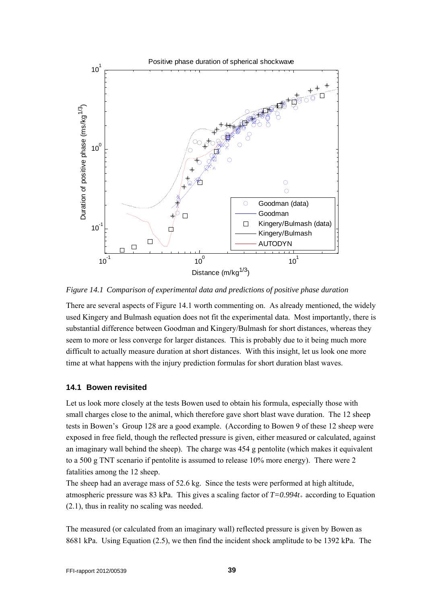

*Figure 14.1 Comparison of experimental data and predictions of positive phase duration* 

There are several aspects of Figure 14.1 worth commenting on. As already mentioned, the widely used Kingery and Bulmash equation does not fit the experimental data. Most importantly, there is substantial difference between Goodman and Kingery/Bulmash for short distances, whereas they seem to more or less converge for larger distances. This is probably due to it being much more difficult to actually measure duration at short distances. With this insight, let us look one more time at what happens with the injury prediction formulas for short duration blast waves.

#### **14.1 Bowen revisited**

Let us look more closely at the tests Bowen used to obtain his formula, especially those with small charges close to the animal, which therefore gave short blast wave duration. The 12 sheep tests in Bowen's Group 128 are a good example. (According to Bowen 9 of these 12 sheep were exposed in free field, though the reflected pressure is given, either measured or calculated, against an imaginary wall behind the sheep). The charge was 454 g pentolite (which makes it equivalent to a 500 g TNT scenario if pentolite is assumed to release 10% more energy). There were 2 fatalities among the 12 sheep.

The sheep had an average mass of 52.6 kg. Since the tests were performed at high altitude, atmospheric pressure was 83 kPa. This gives a scaling factor of  $T=0.994t_+$  according to Equation (2.1), thus in reality no scaling was needed.

The measured (or calculated from an imaginary wall) reflected pressure is given by Bowen as 8681 kPa. Using Equation (2.5), we then find the incident shock amplitude to be 1392 kPa. The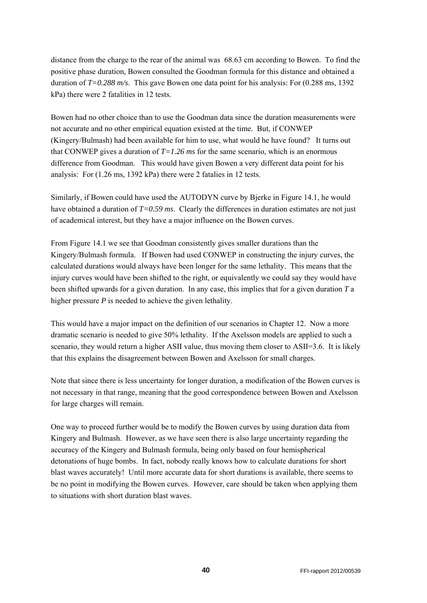distance from the charge to the rear of the animal was 68.63 cm according to Bowen. To find the positive phase duration, Bowen consulted the Goodman formula for this distance and obtained a duration of *T=0.288 m/s*. This gave Bowen one data point for his analysis: For (0.288 ms, 1392 kPa) there were 2 fatalities in 12 tests.

Bowen had no other choice than to use the Goodman data since the duration measurements were not accurate and no other empirical equation existed at the time. But, if CONWEP (Kingery/Bulmash) had been available for him to use, what would he have found? It turns out that CONWEP gives a duration of  $T=1.26$  ms for the same scenario, which is an enormous difference from Goodman. This would have given Bowen a very different data point for his analysis: For (1.26 ms, 1392 kPa) there were 2 fatalies in 12 tests.

Similarly, if Bowen could have used the AUTODYN curve by Bjerke in Figure 14.1, he would have obtained a duration of *T*=0.59 ms. Clearly the differences in duration estimates are not just of academical interest, but they have a major influence on the Bowen curves.

From Figure 14.1 we see that Goodman consistently gives smaller durations than the Kingery/Bulmash formula. If Bowen had used CONWEP in constructing the injury curves, the calculated durations would always have been longer for the same lethality. This means that the injury curves would have been shifted to the right, or equivalently we could say they would have been shifted upwards for a given duration. In any case, this implies that for a given duration *T* a higher pressure *P* is needed to achieve the given lethality.

This would have a major impact on the definition of our scenarios in Chapter 12. Now a more dramatic scenario is needed to give 50% lethality. If the Axelsson models are applied to such a scenario, they would return a higher ASII value, thus moving them closer to ASII=3.6. It is likely that this explains the disagreement between Bowen and Axelsson for small charges.

Note that since there is less uncertainty for longer duration, a modification of the Bowen curves is not necessary in that range, meaning that the good correspondence between Bowen and Axelsson for large charges will remain.

One way to proceed further would be to modify the Bowen curves by using duration data from Kingery and Bulmash. However, as we have seen there is also large uncertainty regarding the accuracy of the Kingery and Bulmash formula, being only based on four hemispherical detonations of huge bombs. In fact, nobody really knows how to calculate durations for short blast waves accurately! Until more accurate data for short durations is available, there seems to be no point in modifying the Bowen curves. However, care should be taken when applying them to situations with short duration blast waves.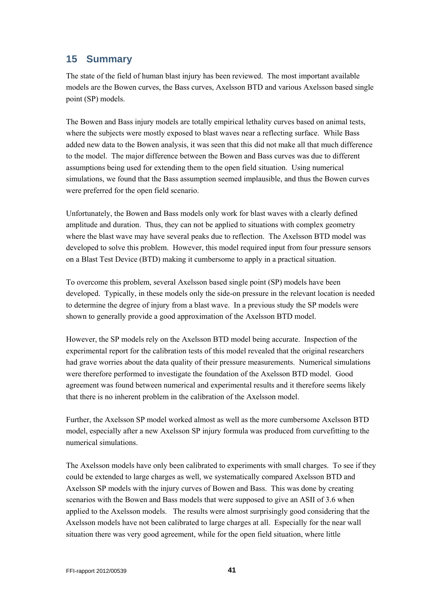## **15 Summary**

The state of the field of human blast injury has been reviewed. The most important available models are the Bowen curves, the Bass curves, Axelsson BTD and various Axelsson based single point (SP) models.

The Bowen and Bass injury models are totally empirical lethality curves based on animal tests, where the subjects were mostly exposed to blast waves near a reflecting surface. While Bass added new data to the Bowen analysis, it was seen that this did not make all that much difference to the model. The major difference between the Bowen and Bass curves was due to different assumptions being used for extending them to the open field situation. Using numerical simulations, we found that the Bass assumption seemed implausible, and thus the Bowen curves were preferred for the open field scenario.

Unfortunately, the Bowen and Bass models only work for blast waves with a clearly defined amplitude and duration. Thus, they can not be applied to situations with complex geometry where the blast wave may have several peaks due to reflection. The Axelsson BTD model was developed to solve this problem. However, this model required input from four pressure sensors on a Blast Test Device (BTD) making it cumbersome to apply in a practical situation.

To overcome this problem, several Axelsson based single point (SP) models have been developed. Typically, in these models only the side-on pressure in the relevant location is needed to determine the degree of injury from a blast wave. In a previous study the SP models were shown to generally provide a good approximation of the Axelsson BTD model.

However, the SP models rely on the Axelsson BTD model being accurate. Inspection of the experimental report for the calibration tests of this model revealed that the original researchers had grave worries about the data quality of their pressure measurements. Numerical simulations were therefore performed to investigate the foundation of the Axelsson BTD model. Good agreement was found between numerical and experimental results and it therefore seems likely that there is no inherent problem in the calibration of the Axelsson model.

Further, the Axelsson SP model worked almost as well as the more cumbersome Axelsson BTD model, especially after a new Axelsson SP injury formula was produced from curvefitting to the numerical simulations.

The Axelsson models have only been calibrated to experiments with small charges. To see if they could be extended to large charges as well, we systematically compared Axelsson BTD and Axelsson SP models with the injury curves of Bowen and Bass. This was done by creating scenarios with the Bowen and Bass models that were supposed to give an ASII of 3.6 when applied to the Axelsson models. The results were almost surprisingly good considering that the Axelsson models have not been calibrated to large charges at all. Especially for the near wall situation there was very good agreement, while for the open field situation, where little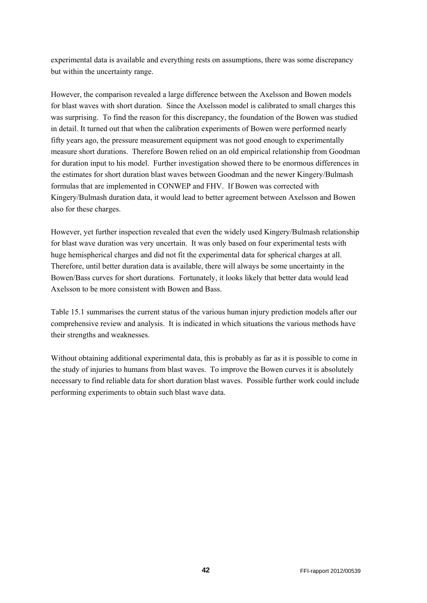experimental data is available and everything rests on assumptions, there was some discrepancy but within the uncertainty range.

However, the comparison revealed a large difference between the Axelsson and Bowen models for blast waves with short duration. Since the Axelsson model is calibrated to small charges this was surprising. To find the reason for this discrepancy, the foundation of the Bowen was studied in detail. It turned out that when the calibration experiments of Bowen were performed nearly fifty years ago, the pressure measurement equipment was not good enough to experimentally measure short durations. Therefore Bowen relied on an old empirical relationship from Goodman for duration input to his model. Further investigation showed there to be enormous differences in the estimates for short duration blast waves between Goodman and the newer Kingery/Bulmash formulas that are implemented in CONWEP and FHV. If Bowen was corrected with Kingery/Bulmash duration data, it would lead to better agreement between Axelsson and Bowen also for these charges.

However, yet further inspection revealed that even the widely used Kingery/Bulmash relationship for blast wave duration was very uncertain. It was only based on four experimental tests with huge hemispherical charges and did not fit the experimental data for spherical charges at all. Therefore, until better duration data is available, there will always be some uncertainty in the Bowen/Bass curves for short durations. Fortunately, it looks likely that better data would lead Axelsson to be more consistent with Bowen and Bass.

Table 15.1 summarises the current status of the various human injury prediction models after our comprehensive review and analysis. It is indicated in which situations the various methods have their strengths and weaknesses.

Without obtaining additional experimental data, this is probably as far as it is possible to come in the study of injuries to humans from blast waves. To improve the Bowen curves it is absolutely necessary to find reliable data for short duration blast waves. Possible further work could include performing experiments to obtain such blast wave data.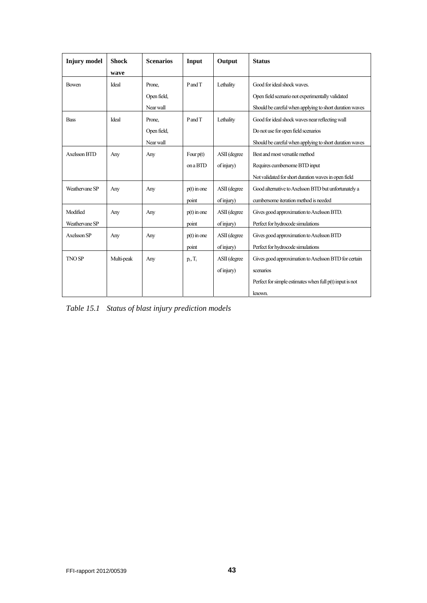| <b>Injury</b> model | <b>Shock</b><br>wave | <b>Scenarios</b> | Input         | Output       | <b>Status</b>                                              |
|---------------------|----------------------|------------------|---------------|--------------|------------------------------------------------------------|
| <b>Bowen</b>        | Ideal                | Prone,           | PandT         | Lethality    | Good for ideal shock waves.                                |
|                     |                      | Open field,      |               |              | Open field scenario not experimentally validated           |
|                     |                      | Near wall        |               |              | Should be careful when applying to short duration waves    |
| <b>Bass</b>         | Ideal                | Prone,           | PandT         | Lethality    | Good for ideal shock waves near reflecting wall            |
|                     |                      | Open field,      |               |              | Do not use for open field scenarios                        |
|                     |                      | Near wall        |               |              | Should be careful when applying to short duration waves    |
| Axelsson BTD        | Any                  | Any              | Four $p(t)$   | ASII (degree | Best and most versatile method                             |
|                     |                      |                  | on a BTD      | of injury)   | Requires cumbersome BTD input                              |
|                     |                      |                  |               |              | Not validated for short duration waves in open field       |
| Weathervane SP      | Any                  | Any              | $p(t)$ in one | ASII (degree | Good alternative to Axelsson BTD but unfortunately a       |
|                     |                      |                  | point         | of injury)   | cumbersome iteration method is needed                      |
| Modified            | Any                  | Any              | $p(t)$ in one | ASII (degree | Gives good approximation to Axelsson BTD.                  |
| Weathervane SP      |                      |                  | point         | of injury)   | Perfect for hydrocode simulations                          |
| Axelsson SP         | Any                  | Any              | $p(t)$ in one | ASII (degree | Gives good approximation to Axelsson BTD                   |
|                     |                      |                  | point         | of injury)   | Perfect for hydrocode simulations                          |
| <b>TNO SP</b>       | Multi-peak           | Any              | $p_i, T_i$    | ASII (degree | Gives good approximation to Axelsson BTD for certain       |
|                     |                      |                  |               | of injury)   | scenarios                                                  |
|                     |                      |                  |               |              | Perfect for simple estimates when full $p(t)$ input is not |
|                     |                      |                  |               |              | known.                                                     |

*Table 15.1 Status of blast injury prediction models*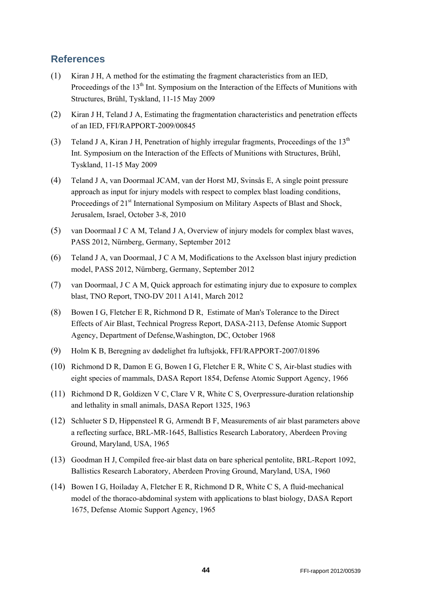## **References**

- (1) Kiran J H, A method for the estimating the fragment characteristics from an IED, Proceedings of the 13<sup>th</sup> Int. Symposium on the Interaction of the Effects of Munitions with Structures, Brühl, Tyskland, 11-15 May 2009
- (2) Kiran J H, Teland J A, Estimating the fragmentation characteristics and penetration effects of an IED, FFI/RAPPORT-2009/00845
- (3) Teland J A, Kiran J H, Penetration of highly irregular fragments, Proceedings of the  $13<sup>th</sup>$ Int. Symposium on the Interaction of the Effects of Munitions with Structures, Brühl, Tyskland, 11-15 May 2009
- (4) Teland J A, van Doormaal JCAM, van der Horst MJ, Svinsås E, A single point pressure approach as input for injury models with respect to complex blast loading conditions, Proceedings of 21<sup>st</sup> International Symposium on Military Aspects of Blast and Shock, Jerusalem, Israel, October 3-8, 2010
- (5) van Doormaal J C A M, Teland J A, Overview of injury models for complex blast waves, PASS 2012, Nürnberg, Germany, September 2012
- (6) Teland J A, van Doormaal, J C A M, Modifications to the Axelsson blast injury prediction model, PASS 2012, Nürnberg, Germany, September 2012
- (7) van Doormaal, J C A M, Quick approach for estimating injury due to exposure to complex blast, TNO Report, TNO-DV 2011 A141, March 2012
- (8) Bowen I G, Fletcher E R, Richmond D R, Estimate of Man's Tolerance to the Direct Effects of Air Blast, Technical Progress Report, DASA-2113, Defense Atomic Support Agency, Department of Defense,Washington, DC, October 1968
- (9) Holm K B, Beregning av dødelighet fra luftsjokk, FFI/RAPPORT-2007/01896
- (10) Richmond D R, Damon E G, Bowen I G, Fletcher E R, White C S, Air-blast studies with eight species of mammals, DASA Report 1854, Defense Atomic Support Agency, 1966
- (11) Richmond D R, Goldizen V C, Clare V R, White C S, Overpressure-duration relationship and lethality in small animals, DASA Report 1325, 1963
- (12) Schlueter S D, Hippensteel R G, Armendt B F, Measurements of air blast parameters above a reflecting surface, BRL-MR-1645, Ballistics Research Laboratory, Aberdeen Proving Ground, Maryland, USA, 1965
- (13) Goodman H J, Compiled free-air blast data on bare spherical pentolite, BRL-Report 1092, Ballistics Research Laboratory, Aberdeen Proving Ground, Maryland, USA, 1960
- (14) Bowen I G, Hoiladay A, Fletcher E R, Richmond D R, White C S, A fluid-mechanical model of the thoraco-abdominal system with applications to blast biology, DASA Report 1675, Defense Atomic Support Agency, 1965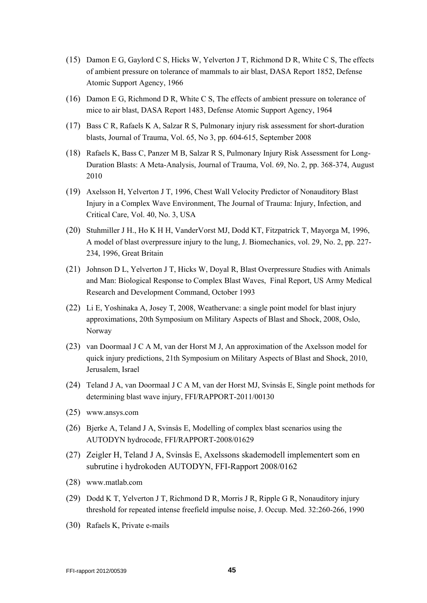- (15) Damon E G, Gaylord C S, Hicks W, Yelverton J T, Richmond D R, White C S, The effects of ambient pressure on tolerance of mammals to air blast, DASA Report 1852, Defense Atomic Support Agency, 1966
- (16) Damon E G, Richmond D R, White C S, The effects of ambient pressure on tolerance of mice to air blast, DASA Report 1483, Defense Atomic Support Agency, 1964
- (17) Bass C R, Rafaels K A, Salzar R S, Pulmonary injury risk assessment for short-duration blasts, Journal of Trauma, Vol. 65, No 3, pp. 604-615, September 2008
- (18) Rafaels K, Bass C, Panzer M B, Salzar R S, Pulmonary Injury Risk Assessment for Long-Duration Blasts: A Meta-Analysis, Journal of Trauma, Vol. 69, No. 2, pp. 368-374, August 2010
- (19) Axelsson H, Yelverton J T, 1996, Chest Wall Velocity Predictor of Nonauditory Blast Injury in a Complex Wave Environment, The Journal of Trauma: Injury, Infection, and Critical Care, Vol. 40, No. 3, USA
- (20) Stuhmiller J H., Ho K H H, VanderVorst MJ, Dodd KT, Fitzpatrick T, Mayorga M, 1996, A model of blast overpressure injury to the lung, J. Biomechanics, vol. 29, No. 2, pp. 227- 234, 1996, Great Britain
- (21) Johnson D L, Yelverton J T, Hicks W, Doyal R, Blast Overpressure Studies with Animals and Man: Biological Response to Complex Blast Waves, Final Report, US Army Medical Research and Development Command, October 1993
- (22) Li E, Yoshinaka A, Josey T, 2008, Weathervane: a single point model for blast injury approximations, 20th Symposium on Military Aspects of Blast and Shock, 2008, Oslo, Norway
- (23) van Doormaal J C A M, van der Horst M J, An approximation of the Axelsson model for quick injury predictions, 21th Symposium on Military Aspects of Blast and Shock, 2010, Jerusalem, Israel
- (24) Teland J A, van Doormaal J C A M, van der Horst MJ, Svinsås E, Single point methods for determining blast wave injury, FFI/RAPPORT-2011/00130
- (25) www.ansys.com
- (26) Bjerke A, Teland J A, Svinsås E, Modelling of complex blast scenarios using the AUTODYN hydrocode, FFI/RAPPORT-2008/01629
- (27) Zeigler H, Teland J A, Svinsås E, Axelssons skademodell implementert som en subrutine i hydrokoden AUTODYN, FFI-Rapport 2008/0162
- (28) www.matlab.com
- (29) Dodd K T, Yelverton J T, Richmond D R, Morris J R, Ripple G R, Nonauditory injury threshold for repeated intense freefield impulse noise, J. Occup. Med. 32:260-266, 1990
- (30) Rafaels K, Private e-mails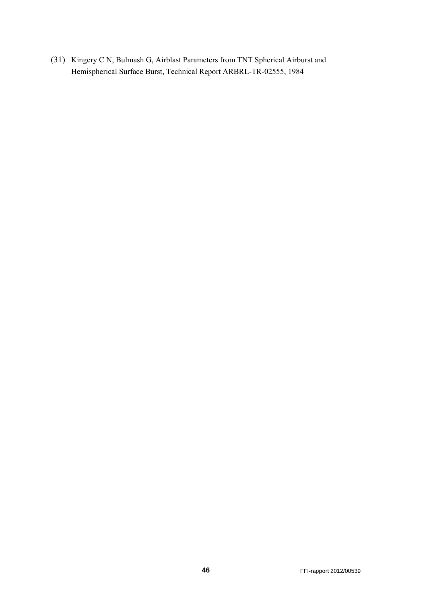(31) Kingery C N, Bulmash G, Airblast Parameters from TNT Spherical Airburst and Hemispherical Surface Burst, Technical Report ARBRL-TR-02555, 1984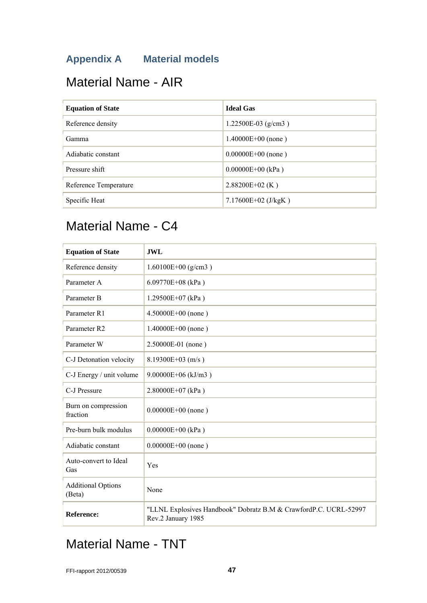# **Appendix A Material models**

# Material Name - AIR

| <b>Equation of State</b> | <b>Ideal Gas</b>        |
|--------------------------|-------------------------|
| Reference density        | 1.22500E-03 (g/cm3)     |
| Gamma                    | $1.40000E+00$ (none)    |
| Adiabatic constant       | $0.00000E+00$ (none)    |
| Pressure shift           | $0.00000E+00$ (kPa)     |
| Reference Temperature    | $2.88200E+02$ (K)       |
| Specific Heat            | 7.17600E+02 ( $J/kgK$ ) |

# Material Name - C4

| <b>Equation of State</b>            | <b>JWL</b>                                                                             |
|-------------------------------------|----------------------------------------------------------------------------------------|
| Reference density                   | $1.60100E+00$ (g/cm3)                                                                  |
| Parameter A                         | 6.09770E+08 (kPa)                                                                      |
| Parameter B                         | 1.29500E+07 (kPa)                                                                      |
| Parameter R1                        | $4.50000E+00$ (none)                                                                   |
| Parameter R2                        | $1.40000E+00$ (none)                                                                   |
| Parameter W                         | 2.50000E-01 (none)                                                                     |
| C-J Detonation velocity             | 8.19300E+03 (m/s)                                                                      |
| C-J Energy / unit volume            | $9.00000E+06$ (kJ/m3)                                                                  |
| C-J Pressure                        | $2.80000E+07$ (kPa)                                                                    |
| Burn on compression<br>fraction     | $0.00000E+00$ (none)                                                                   |
| Pre-burn bulk modulus               | $0.00000E+00$ (kPa)                                                                    |
| Adiabatic constant                  | $0.00000E+00$ (none)                                                                   |
| Auto-convert to Ideal<br>Gas        | Yes                                                                                    |
| <b>Additional Options</b><br>(Beta) | None                                                                                   |
| <b>Reference:</b>                   | "LLNL Explosives Handbook" Dobratz B.M & CrawfordP.C. UCRL-52997<br>Rev.2 January 1985 |

# Material Name - TNT